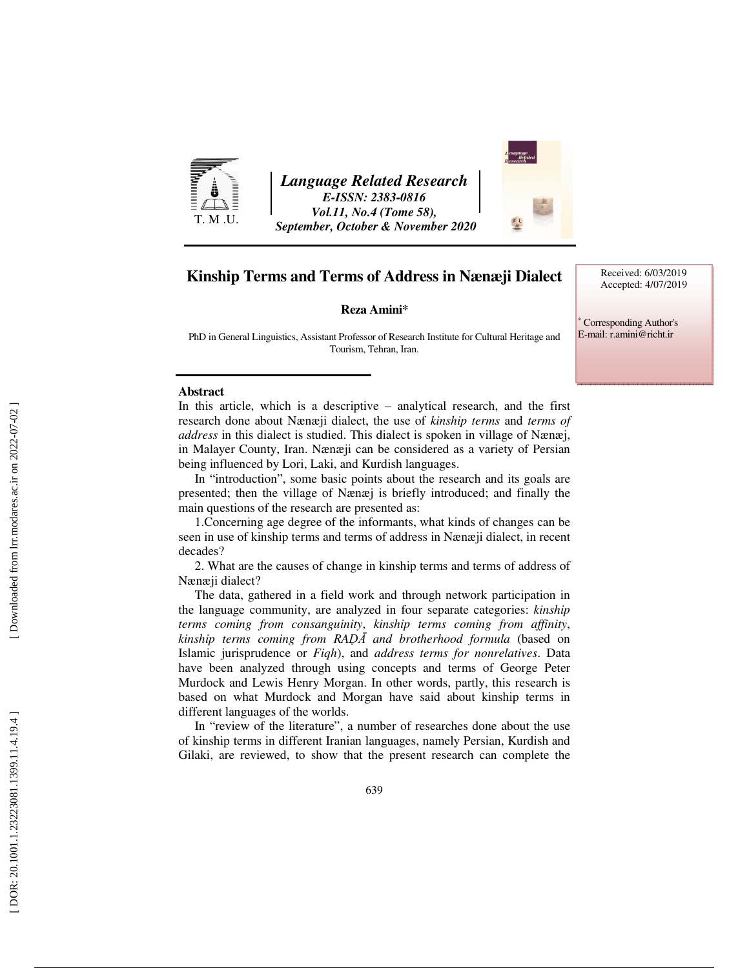

*Language Related Research E-ISSN: 2383-0816 Vol.11, No.4 (Tome 58), September, October & November 2020* 



# **Kinship Terms and Terms of Address in Nænæji Dialect**

 **Reza Amini\***

∗ Corresponding Author's

E-mail: r.amini@richt.ir

Received: 6/03/2019 Accepted: 4/07/2019

PhD in General Linguistics, Assistant Professor of Research Institute for Cultural Heritage and Tourism, Tehran, Iran.

#### **Abstract**

In this article, which is a descriptive – analytical research, and the first research done about Nænæji dialect, the use of *kinship terms* and *terms of address* in this dialect is studied. This dialect is spoken in village of Nænæj, in Malayer County, Iran. Nænæji can be considered as a variety of Persian being influenced by Lori, Laki, and Kurdish languages.

In "introduction", some basic points about the research and its goals are presented; then the village of Nænæj is briefly introduced; and finally the main questions of the research are presented as:

1.Concerning age degree of the informants, what kinds of changes can be seen in use of kinship terms and terms of address in Nænæji dialect, in recent decades?

2. What are the causes of change in kinship terms and terms of address of Nænæji dialect?

The data, gathered in a field work and through network participation in the language community, are analyzed in four separate categories: *kinship terms coming from consanguinity*, *kinship terms coming from affinity*, *kinship terms coming from RADA* and brotherhood formula (based on Islamic jurisprudence or *Fiqh*), and *address terms for nonrelatives*. Data have been analyzed through using concepts and terms of George Peter Murdock and Lewis Henry Morgan. In other words, partly, this research is based on what Murdock and Morgan have said about kinship terms in different languages of the worlds.

In "review of the literature", a number of researches done about the use of kinship terms in different Iranian languages, namely Persian, Kurdish and Gilaki, are reviewed, to show that the present research can complete the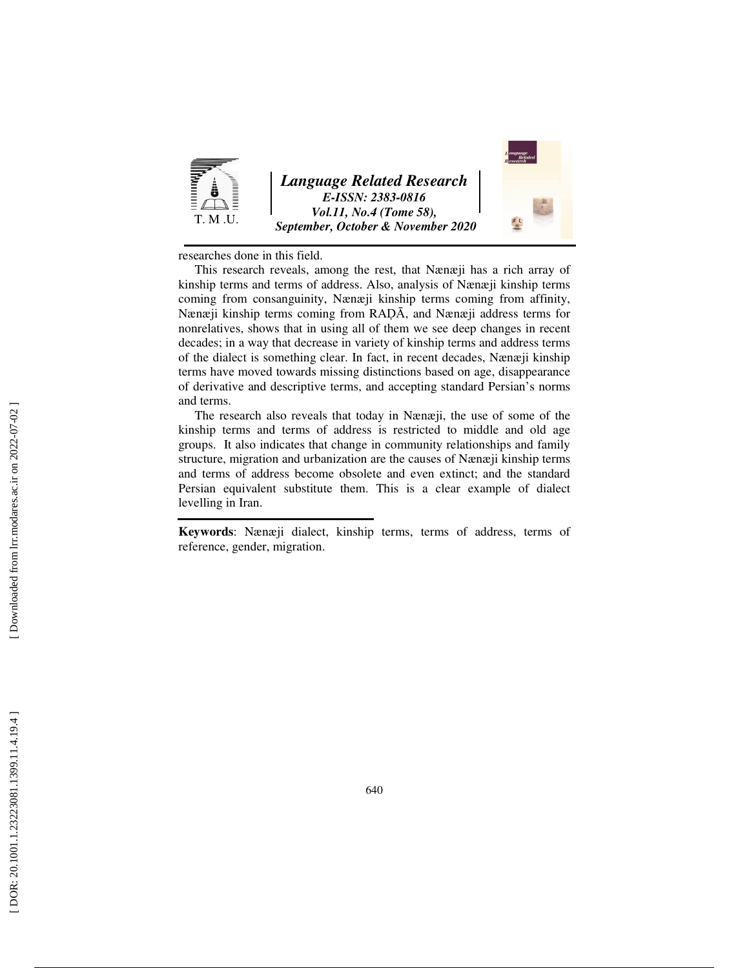

*Language Related Research E-ISSN: 2383-0816 Vol.11, No.4 (Tome 58), September, October & November 2020* 

researches done in this field.

This research reveals, among the rest, that Nænæji has a rich array of kinship terms and terms of address. Also, analysis of Nænæji kinship terms coming from consanguinity, Nænæji kinship terms coming from affinity, Nænæji kinship terms coming from RADĀ, and Nænæji address terms for nonrelatives, shows that in using all of them we see deep changes in recent decades; in a way that decrease in variety of kinship terms and address terms of the dialect is something clear. In fact, in recent decades, Nænæji kinship terms have moved towards missing distinctions based on age, disappearance of derivative and descriptive terms, and accepting standard Persian's norms and terms.

The research also reveals that today in Nænæji, the use of some of the kinship terms and terms of address is restricted to middle and old age groups. It also indicates that change in community relationships and family structure, migration and urbanization are the causes of Nænæji kinship terms and terms of address become obsolete and even extinct; and the standard Persian equivalent substitute them. This is a clear example of dialect levelling in Iran.

**Keywords**: Nænæji dialect, kinship terms, terms of address, terms of reference, gender, migration.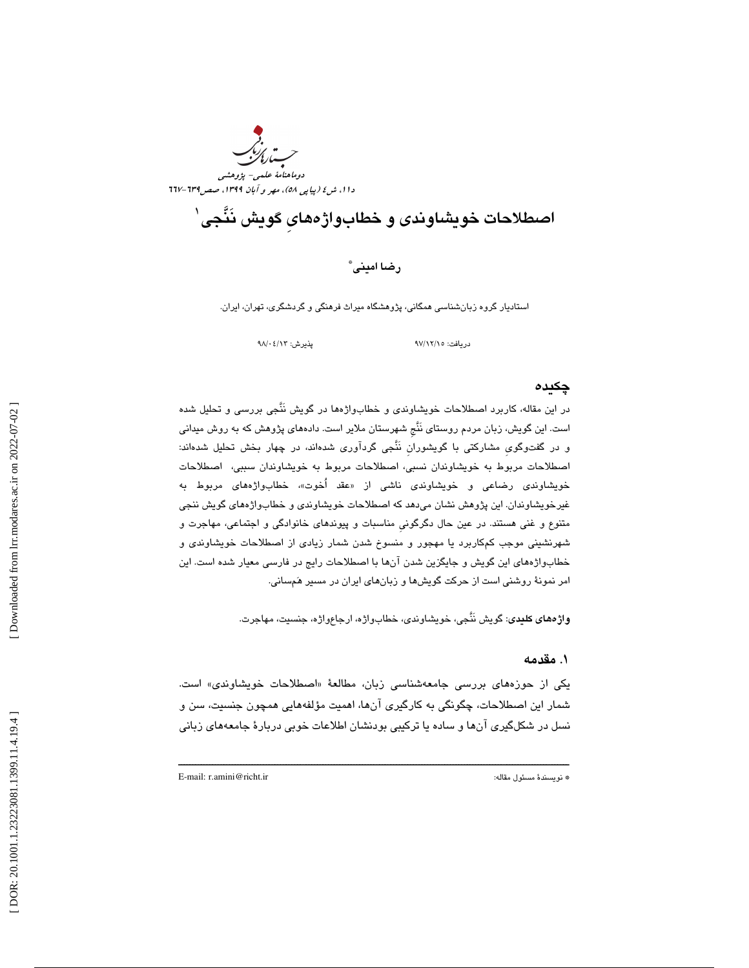

# اصطلاحات خويشاوندی و خطابواژههای گويش نَنَّجى`

رضا اميني \*

استادیار گروه زبانشناسی همگانی، پژوهشگاه میراث فرهنگی و گردشگری، تهران، ایران.

دريافت: 15/ 12/ 97 پذيرش: 13/ 04/ 98

### چكيده

در اين مقاله، كاربرد اصطلاحات خويشاوندي و خطابواژهها در گويش نَنَّجي بررسي و تحليل شده است. اين گويش، زبان مردم روستاي نَنَّجِ شهرستان ملاير است. دادههاي پژوهش كه به روش ميداني گويِ مشاركتي با گويشورانِ نَنَّجي گردآوري شدهاند، در چهار بخش تحليل شدهاند: و در گفتو اصطلاحات مربوط به خويشاوندان نسبي، اصطلاحات مربوط به خويشاوندان سببي، اصطلاحات خويشاون*دی* رضاعی و خويشاون*دی* ناشی از «عقد آخوت»، خطابواژههای مربوط به غيرخويشاوندان. اين پژوهش نشان ميدهد كه اصطلاحات خويشاوندي و خطابواژههاي گويش ننجي متنوع و غني هستند. در عين حال دگرگونيِ مناسبات و پيوندهاي خانوادگي و اجتماعي، مهاجرت و شهرنشيني موجب كمكاربرد يا مهجور و منسوخ شدن شمار زيادي از اصطلاحات خويشاوندي و خطابواژههاي اين گويش و جايگزين شدن آنها با اصطلاحات رايج در فارسي معيار شده است. اين امر نمونهٔ روشنی است از حرکت گویشها و زبانهای ایران در مسیر هَمسانی.

واژههاي كليدي: گويش نَنَّجي، خويشاوندي، خطابواژه، ارجاعواژه، جنسيت، مهاجرت.

### 1. مقدمه

يكي از حوزههاي بررسي جامعهشناسي زبان، مطالعهٔ «اصطلاحات خويشاون*د*ي» است. شمار اين اصطلاحات، چگونگی به کارگیری انها، اهمیت مؤلفههایی همچون جنسیت، سن و نسل در شكلگيري آنها و ساده يا تركيبي بودنشان اطلاعات خوبي دربارهٔ جامعههاي زباني

ــــــــــــــــــــــــــــــــــــــــــــــــــــــــــــــــــــــــــــــــــــــــــــــــــــــــــــــــــــــــــــــــــــــــــ

E-mail: r.amini@richt.ir :مقاله مسئول نويسندة\*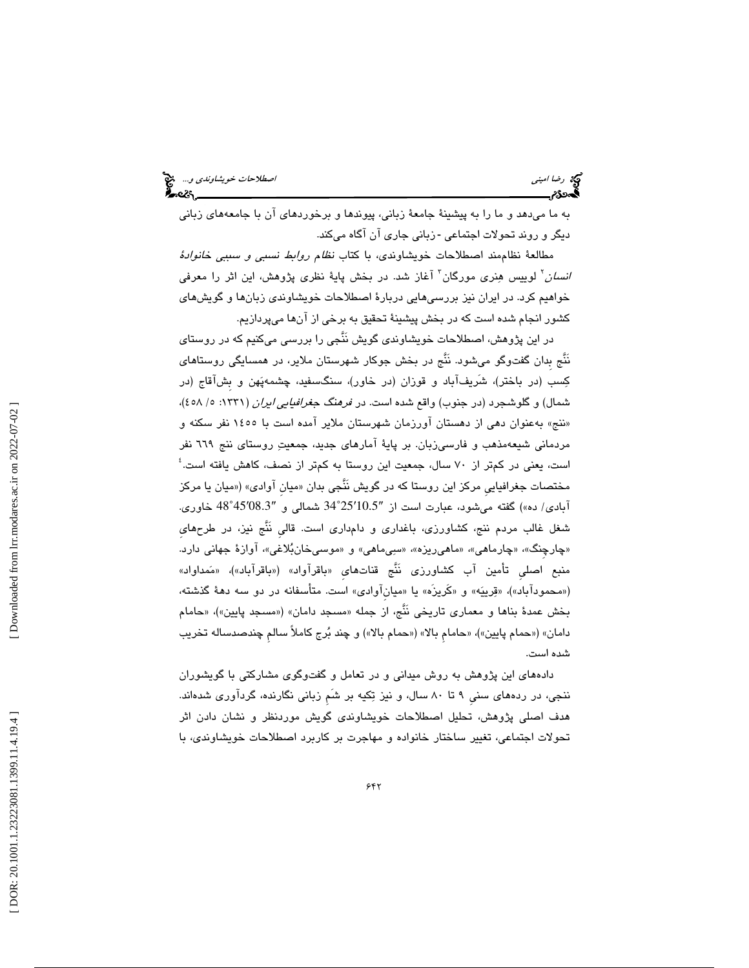به ما ميدهد و ما را به پيشينة جامعة زباني، پيوندها و برخوردهاي آن با جامعههاي زباني دیگر و روند تحولات اجتماعی -زبانی جاری آن آگاه میکند.

مطالعة نظاممند اصطلاحات خويشاوندي، با كتاب نظام روابط نسبي و سببي خانوادة *انسان*٬ لوییس هِنری مورگان٬ آغاز شد. در بخش پایهٔ نظری پژوهش، این اثر را معرفی خواهيم كرد. در ايران نيز بررسيهايي دربارة اصطلاحات خويشاوندي زبانها و گويشهاي كشور انجام شده است كه در بخش پيشينة تحقيق به برخي از آنها ميپردازيم.

در اين پژوهش، اصطلاحات خويشاوندي گويش نَنَّجي را بررسي ميكنيم كه در روستاي نَنْج بدان گفتوگو میشود. نَنَّج در بخش جوکار شهرستان ملایر، در همسایگی روستاهای كسب (در باختر)، شَريفآباد و قوزان (در خاور)، سنگسفيد، چشمهپهن و بِشآقاج (در شمال) و گلوشجرد (در جنوب) واقع شده است. در *فرهنگ جغرافيايي ايران* (۱۳۳۱: ۰/ ٤٥٨)، «ننج» بهعنوان دهی از دهستان اورزمان شهرستان ملایر امده است با ۱٤٥٥ نفر سکنه و مردماني شيعهمذهب و فارسيزبان. بر پايهٔ آمارهاي جديد، جمعيتِ روستاي ننج ٦٦٩ نفر است، يعني در كمتر از 70 سال، جمعيت اين روستا به كمتر از نصف، كاهش يافته است. 4 مختصات جغرافيايي مركز اين روستا كه در گويش نَنَّجي بدان «ميان اوادي» («ميان يا مركز 45˚48 خاوري. ′08.3 25˚34 شمالي و ″ ′10.5 آبادي/ ده») گفته ميشود، عبارت است از ″ شغل غالب مردم ننج، كشاورزي، باغداري و دامداري است. قاليِ نَنَّج نيز، در طرحهايِ «چارچنگ»، «چارماهي»، «ماهيريزه»، «سيىماهي» و «موسىخانبُلاغي»، اوازهٔ جهاني دارد. منبع اصلي تأمين اب كشاورزي نَنَّج قناتهاي «باقراواد» («باقراباد»)، «مَمداواد» («محمودآباد»)، «قِرییَه» و «کَریزَه» یا «میانآوادی» است. متأسفانه در دو سه دههٔ گذشته، بخش عمدهٔ بناها و معماری تاریخی نَنَج، از جمله «مسجد دامان» («مسجد پایین»)، «حامام دامان» («حمام پايين»)، «حامام بالا» («حمام بالا») و چند بُرج كاملاً سالم چندصدساله تخريب شده است.

دادههای این پژوهش به روش میدانی و در تعامل و گفتوگوی مشارکتی با گویشوران ننجي، در ردههاي سنيِ 9 تا 80 سال، و نيز تكيه بر شَمِ زباني نگارنده، گردآوري شدهاند. هدف اصلي پژوهش، تحليل اصطلاحات خويشاوندي گويش موردنظر و نشان دادن اثر تحولات اجتماعي، تغيير ساختار خانواده و مهاجرت بر كاربرد اصطلاحات خويشاوندي، با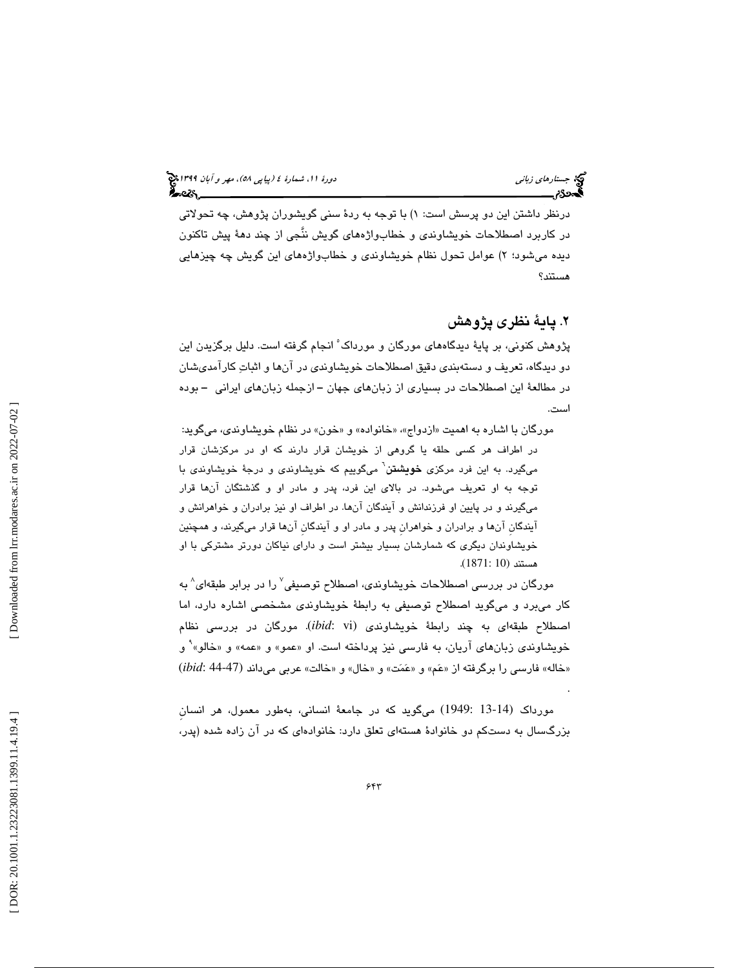.

درنظر داشتن اين دو پرسش است: ۱) با توجه به ردهٔ سنی گويشوران پژوهش، چه تحولاتی در كاربرد اصطلاحات خويشاوندي و خطابواژههاي گويش ننَّجي از چند دهة پيش تاكنون ديده میشود؛ ۲) عوامل تحول نظام خويشاوندی و خطابواژههای اين گويش چه چيزهايی هستند؟

# 2. پاية نظري پژوهش

پژوهش كنونى، بر پايهٔ ديدگاههاى مورگان و مورداک<sup>،</sup> انجام گرفته است. دليل برگزيدن اين دو ديدگاه، تعريف و دستهبندي دقيق اصطلاحات خويشاوندي در آنها و اثبات كارآمديشان در مطالعة اين اصطلاحات در بسياري از زبانهاي جهان ــ ازجمله زبانهاي ايراني ــ بوده است.

مورگان با اشاره به اهمیت «ازدواج»، «خانواده» و «خون» در نظام خویشاوندی، میگوید: در اطراف هر كسى حلقه يا گروهى از خويشان قرار دارند كه او در مركزشان قرار<br>مىگيرد. به اين فرد مركزى **خويشنن**` مىگوييم كه خويشاوندى و درجهٔ خويشاوندى با توجه به او تعريف ميشود. در بالاي اين فرد، پدر و مادر او و گذشتگان آنها قرار ميگيرند و در پايين او فرزندانش و آيندگان آنها. در اطراف او نيز برادران و خواهرانش و آيندگانِ آنها و برادران و خواهرانِ پدر و مادر او و آيندگانِ آنها قرار ميگيرند، و همچنين خويشاوندان ديگري كه شمارشان بسيار بيشتر است و داراي نياكان دورتر مشتركي با او هستند (10 1871:) .

مورگان در بررسی اصطلاحات خویشاوندی، اصطلاح توصیفی ٔ را در برابر طبقهای ٔ به كار ميبرد و ميگويد اصطلاح توصيفي به رابطة خويشاوندي مشخصي اشاره دارد، اما اصطلاح طبقهای به چند رابطهٔ خویشاوندی (*ibid*: vi). مورگان در بررسی نظام خویشاوندی زبانهای آریان، به فارسی نیز پرداخته است. او «عمو» و «عمه» و «خالو»<sup>۹</sup> خویشاوندی زبانهای اریان، به فارسی نیز پرداخته است. او «عمو» و «عمه» و «خالو»` و<br>«خاله» فارسی را برگرفته از «عَم» و «عَمَت» و «خال» و «خالت» عربی میداند (47-44 :ibid)

مورداك (13-14 1949:) ميگويد كه در جامعة انساني، بهطور معمول، هر انسانِ بزرگسال به دستکم دو خانوادهٔ هستهای تعلق دارد: خانوادهای که در آن زاده شده (پدر،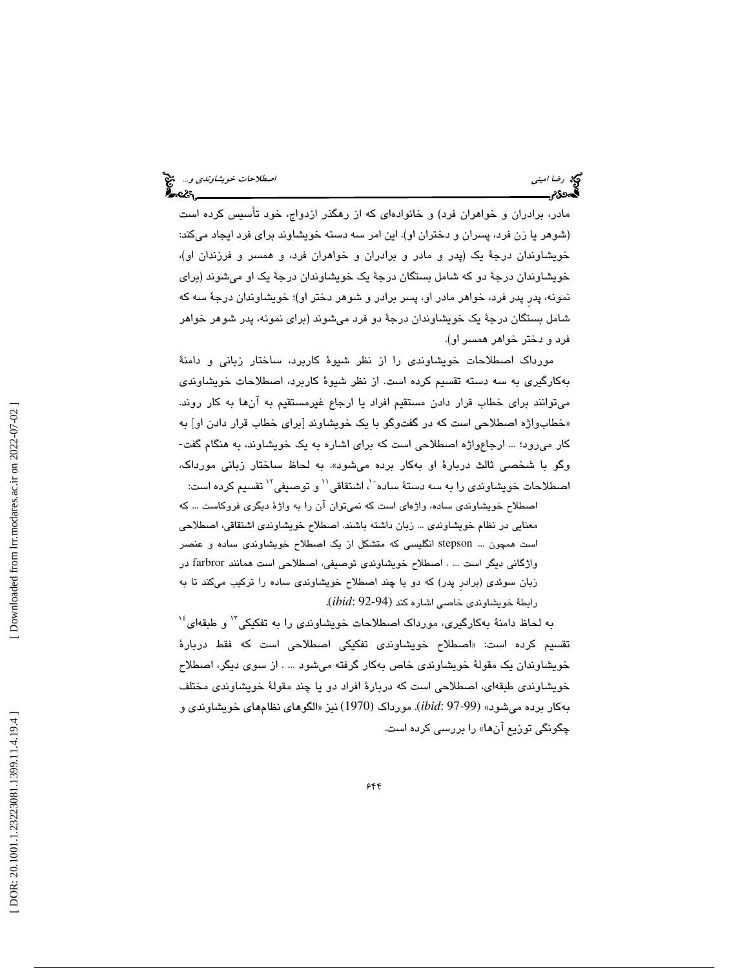مادر، برادران و خواهران فرد) و خانوادهاي كه از رهگذر ازدواج، خود تأسيس كرده است (شوهر يا زن فرد، پسران و دختران او). اين امر سه دسته خويشاوند براي فرد ايجاد ميكند: خويشاوندان درجة يك (پدر و مادر و برادران و خواهران فرد، و همسر و فرزندان او)، خويشاوندان درجة دو كه شامل بستگان درجة يك خويشاوندان درجة يك او ميشوند (براي نمونه، پدرِ پدر فرد، خواهر مادر او، پسر برادر و شوهر دختر او)؛ خويشاوندان درجة سه كه شامل بستگان درجة يك خويشاوندان درجة دو فرد ميشوند (براي نمونه، پدر شوهر خواهر فرد و دختر خواهر همسر او).

مورداك اصطلاحات خويشاوندي را از نظر شيوة كاربرد، ساختار زباني و دامنة كبه ارگيري به سه دسته تقسيم كرده است. از نظر شيوة كاربرد، اصطلاحات خويشاوندي ميتوانند براي خطاب قرار دادن مستقيم افراد يا ارجاع غيرمستقيم به آنها به كار روند. «خطابواژه اصطلاحی است که در گفتوگو با یک خویشاوند [برای خطاب قرار دادن او] به كار ميرود؛ ... ارجاعواژه اصطلاحي است كه براي اشاره به يك خويشاوند، به هنگام گفت- گو با شخصي ثالث دربارة او بهكار برده ميشود». به لحاظ ساختار زباني مورداك، و اصطلاحات خویشاوندی را به سه دستهٔ ساده ``، اشتقاقی`` و توصیفی`` تقسیم کرده است:

اصطلاح خويشاوندی ساده، واژهای است كه نمیتوان ان را به واژهٔ دیگری فروكاست ... كه معنايي در نظام خويشاوندي ... زبان داشته باشند. اصطلاح خويشاوندي اشتقاقي، اصطلاحي است همچون ... stepson انگليسي كه متشكل از يك اصطلاح خويشاوندي ساده و عنصر واژگاني ديگر است ... . اصطلاح خويشاوندي توصيفي، اصطلاحي است همانند farbror در زبان سوئدي (برادرِ پدر) كه دو يا چند اصطلاح خويشاوندي ساده را تركيب ميكند تا به . رابطة خويشاوندي خاصي اشاره كند (92-94 :*ibid*(

به لحاظ دامنهٔ بهکارگیری، مورداک اصطلاحات خویشاوندی را به تفکیکی<sup>۱۲</sup> و طبقهای<sup>۱۶</sup> تقسيم كرده است: «اصطلاح خويشاون*دى* تفكيكى اصطلاحى است كه فقط دربارهٔ خويشاوندان يك مقولة خويشاوندي خاص بهكار گرفته ميشود ... . از سوي ديگر، اصطلاح خويشاوندي طبقهاي، اصطلاحي است كه دربارة افراد دو يا چند مقولة خويشاوندي مختلف الگوهاي نظامهاي خويشاوندي و . مورداك (1970) نيز « بهكار برده ميشود» (97-99 :*ibid*( چگونگي توزيع آن » ها را بررسي كرده است.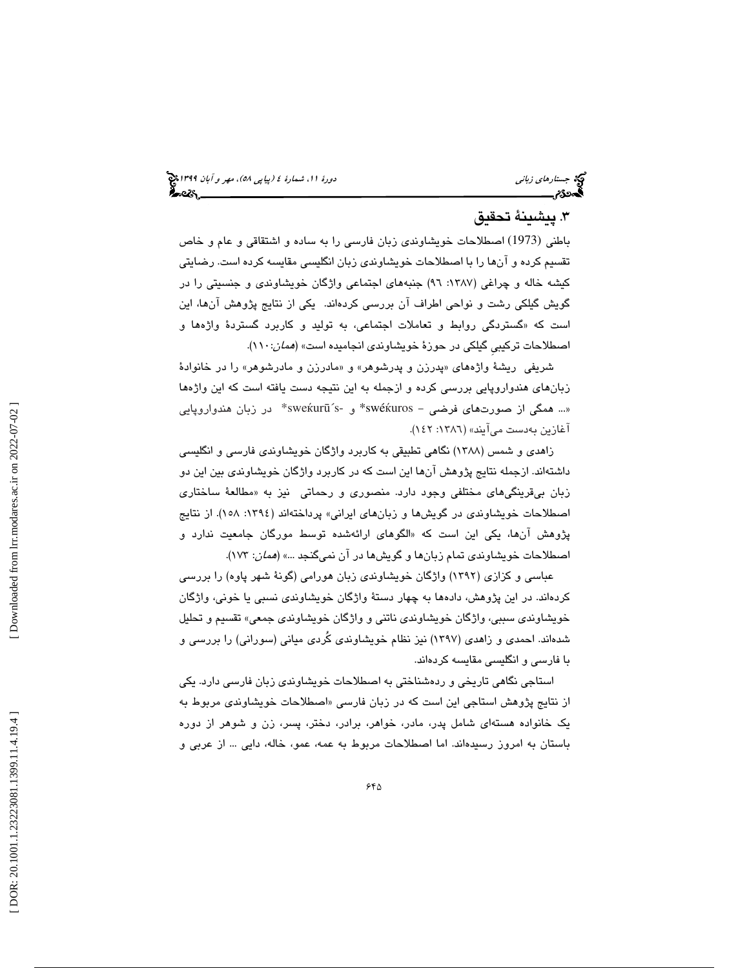# 3. پيشينة تحقيق

باطني (1973) اصطلاحات خويشاوندي زبان فارسي را به ساده و اشتقاقي و عام و خاص تقسيم كرده و آنها را با اصطلاحات خويشاوندي زبان انگليسي مقايسه كرده است. رضايتي كيشه خاله و چراغي (1387 : 96) جنبههاي اجتماعي واژگان خويشاوندي و جنسيتي را در گويش گيلكي رشت و نواحي اطراف آن بررسي كردهاند . يكي از نتايج پژوهش آنها، اين گستردگي روابط و تعاملات اجتماعي، به توليد و كاربرد گستردة واژهها و است كه « اصطلاحات تركيبي گيلكي در حوزهٔ خويشاون*دي* انجاميده است» (*همان:*۱۱۰).

شريفي ريشهٔ واژههاي «پدرزن و پدرشوهر» و «مادرزن و مادرشوهر» را در خانوادهٔ زبانهاي هندواروپايي بررسي كرده و ازجمله به اين نتيجه دست يافته است كه اين واژهها «... همگي از صورتهاي فرضي - swéќuros\* و -sweќurū´s\* در زبان هندواروپايي اغازين بەدست مىايند» (١٣٨٦: ١٤٢).

زاهدي و شمس (1388) نگاهي تطبيقي به كاربرد واژگان خويشاوندي فارسي و انگليسي داشتهاند. ازجمله نتايج پژوهش آنها اين است كه در كاربرد واژگان خويشاوندي بين اين دو زبان بيقرينگيهاي مختلفي وجود دارد. منصوري و رحماتي نيز به م« طالعة ساختاري اصطلاحات خويشاوندي در گويشها و زبانهاي ايراني» پرداختهاند (:1394 158). از نتايج پژوهش انها، يكي اين است كه «الگوهای ارائهشده توسط مورگان جام**ع**يت ندارد و اصطلاحات خويشاوندي تمام زبانها و گويشها در آن نميگنجد ...» (همان: 173 ).

عباسي و كزازي (1392) واژگان خويشاوندي زبان هورامي (گونة شهر پاوه) را بررسي كردهاند. در اين پژوهش، دادهها به چهار دستة واژگان خويشاوندي نسبي يا خوني، واژگان خويشاوندي سببي، واژگان خويشاوندي ناتني و واژگان خويشاوندي جمعي» تقسيم و تحليل شدهاند. احمدي و زاهدي (1397 ) نيز نظام خويشاوندي كُردي مياني (سوراني) را بررسي و با فارسي و انگليسي مقايسه كردهاند.

استاجي نگاهي تاريخي و ردهشناختي به اصطلاحات خويشاوندي زبان فارسي دارد. يكي از نتايج پژوهش استاجي اين است كه در زبان فارسي «اصطلاحات خويشاوندی مربوط به يك خانواده هستهاي شامل پدر، مادر، خواهر، برادر، دختر، پسر، زن و شوهر از دوره باستان به امروز رسيدهاند. اما اصطلاحات مربوط به عمه، عمو، خاله، دايي ... از عربي و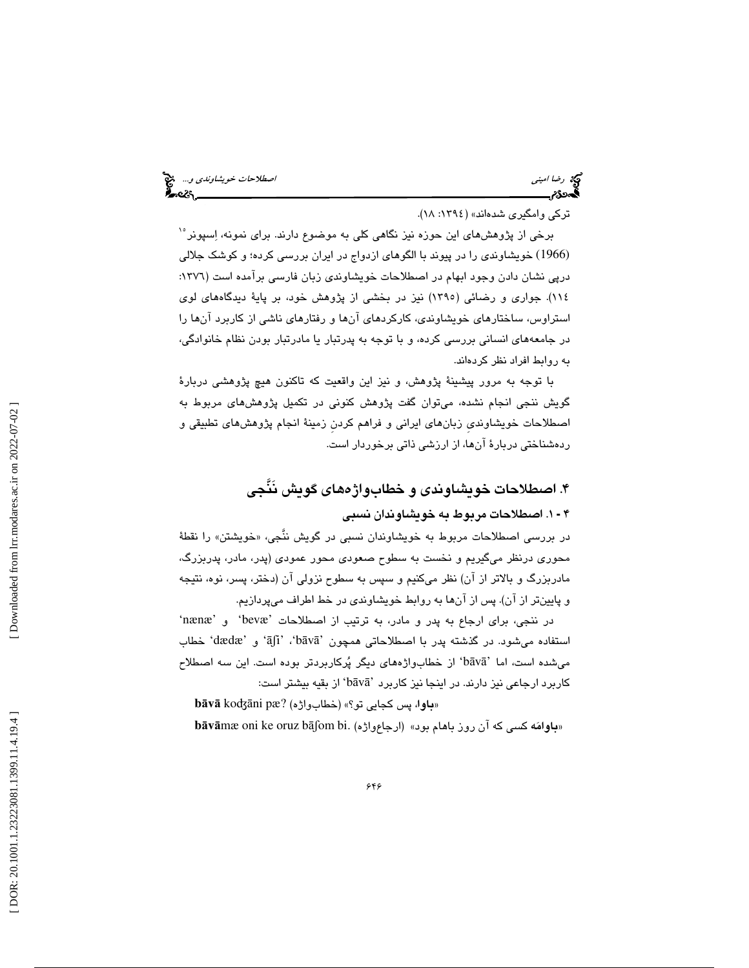رضا اميني الصحيح الصطلاحات *خويشاوندي و...*. وهي الصحيح الصطلاحات *خويشاوندي و...*. وهي الصحيح الصحيح الصحيح الصحيح<br>**الص**حيح الصحيح الصحيح الصحيح الصحيح الصحيح الصحيح الصحيح الصحيح الصحيح الصحيح الصحيح الصحيح الصحيح الصحي

تركي وامگيري شدهاند» (١٣٩٤: ١٨).

15 برخي از پژوهشهاي اين حوزه نيز نگاهي كلي به موضوع دارند. براي نمونه، اسپونر (1966) خويشاوندي را در پيوند با الگوهاي ازدواج در ايران بررسي كرده؛ و كوشك جلالي درپي نشان دادن وجود ابهام در اصطلاحات خويشاوندي زبان فارسي برآمده است (١٣٧٦: 114). جواري و رضائي (1395) نيز در بخشي از پژوهش خود، بر پاية ديدگاههاي لوي استراوس، ساختارهاي خويشاوندي، كاركردهاي آنها و رفتارهاي ناشي از كاربرد آنها را در جامعههاي انساني بررسي كرده، و با توجه به پدرتبار يا مادرتبار بودن نظام خانوادگي، به روابط افراد نظر كردهاند.

با توجه به مرور پيشينة پژوهش، و نيز اين واقعيت كه تاكنون هيچ پژوهشي دربارة گويش ننجي انجام نشده، ميتوان گفت پژوهش كنوني در تكميل پژوهشهاي مربوط به اصطلاحات خويشاونديِ زبانهاي ايراني و فراهم كردنِ زمينة انجام پژوهشهاي تطبيقي و ردهشناختي دربارة آنها، از ارزشي ذاتي برخوردار است.

# 4. اصطلاحات خويشاوندي و خطابواژههاي گويش نَنَّجي

1. اصطلاحات مربوط به خويشاوندان نسبي 4 ـ

در بررسی اصطلاحات مربوط به خویشاوندان نسبی در گویش ننَّجی، «خویشتن» را نقطهٔ محوري درنظر ميگيريم و نخست به سطوح صعودي محور عمودي (پدر، مادر، پدربزرگ، مادربزرگ و بالاتر از آن) نظر ميكنيم و سپس به سطوح نزولي آن (دختر، پسر، نوه، نتيجه و پايينتر از آن). پس از آنها به روابط خويشاوندي در خط اطراف ميپردازيم.

در ننجي، براي ارجاع به پدر و مادر، به ترتيب از اصطلاحات 'bevæ 'و 'nænæ' استفاده میشود. در گذشته پدر با اصطلاحاتی همچون 'bāvā'، 'āʃi' و 'dædæ' خطاب میشده است، اما 'bāvā' از خطابواژههای دیگر پُرکاربردتر بوده است. این سه اصطلاح كاربرد ارجاعى نيز دارند. در اينجا نيز كاربرد 'bāvā' از بقيه بيشتر است:

b**āvā** koʤāni pæ? (خطابواڑه) ب**باوا، پ**س كجايي تو؟» **bāvā**mæ oni ke oruz bāʃom bi. (ارجاعواژه ) با**وامَه** كسى كه آن روز باهام بود»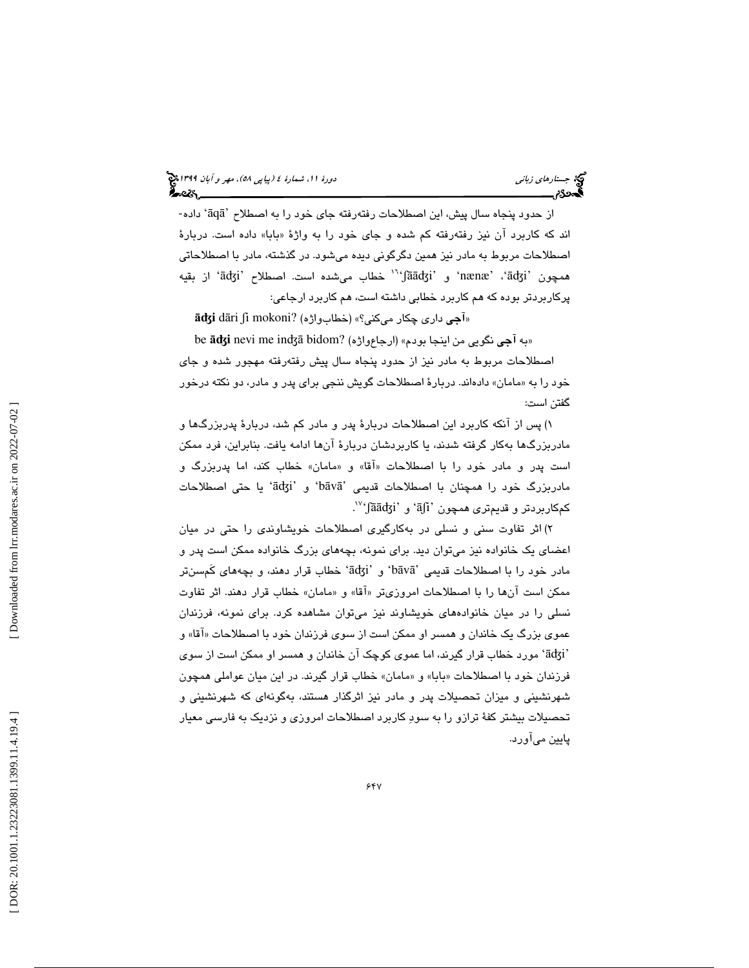از حدود پنجاه سال پيش، اين اصطلاحات رفتهرفته جای خود را به اصطلاح 'āqā' داده-اند كه كاربرد ان نيز رفتهرفته كم شده و جاي خود را به واژهٔ «بابا» داده است. دربارهٔ اصطلاحات مربوط به مادر نيز همين دگرگوني ديده ميشود. در گذشته، مادر با اصطلاحاتي<br>همچون 'ādʒi'، 'mænæ' و 'jāādʒi'' خطاب ميشده است. اصطلاح 'ādʒi' از بقيه پركاربردتر بوده كه هم كاربرد خطابي داشته است، هم كاربرد ارجاعي:

 $\bar{\mathbf{a}}$ d $\bar{\mathbf{g}}$ i dāri ∫i mokoni? (خطابواژه) ميكني)» (خطابواژه

be āʤ «به آجي نگويي من اينجا بودم » (ارجاعواژه) ?bidom inʤā me nevi **i**

صطلاحات مربوط به مادر نيز از حدود پنجاه سال پيش رفتهرفته مهجور شده و جاي ا خود را به «مامان» دادهاند. دربارهٔ اصطلاحات گویش ننجی برای پدر و مادر، دو نكته درخور گفتن است:

 )1 پس از آنكه كاربرد اين اصطلاحات دربارة پدر و مادر كم شد، دربارة پدربزرگها و مادربزرگها بهكار گرفته شدند، يا كاربردشان دربارة آنها ادامه يافت. بنابراين، فرد ممكن است پدر و مادر خود را با اصطلاحات «اقا» و «مامان» خطاب كند، اما پدربزرگ و يا حتي اصطلاحات 'āʤi' و' b ā v ā . <sup>17</sup> كمكاربردتر و قديمتري همچون 'āʃ<sup>i</sup> 'و 'ʃāāʤ<sup>i</sup> 'مادربزرگ خود را همچنان با اصطلاحات قديمي '

 )2 اثر تفاوت سني و نسلي در بهكارگيري اصطلاحات خويشاوندي را حتي در ميان اعضاي يك خانواده نيز ميتوان ديد. براي نمونه، بچههاي بزرگ خانواده ممكن است پدر و مادر خود را با اصطلاحات قدیمی 'bāvā' و 'ādʒi' خطاب قرار دهند، و بچههای کَمِسنتر ممكن است آنها را با اصطلاحات امروزىتر «اقا» و «مامان» خطاب قرار دهند. اثر تفاوت نسلي را در ميان خانوادههاي خويشاوند نيز ميتوان مشاهده كرد. براي نمونه، فرزندان عموی بزرگ یک خاندان و همسر او ممکن است از سوی فرزندان خود با اصطلاحات «اقا» و مورد خطاب قرار گيرند، اما عموي كوچك آن خاندان و همسر او ممكن است از سوي 'āʤi' فرزندان خود با اصطلاحات «بابا» و «مامان» خطاب قرار گیرند. در این میان عواملی همچون شهرنشيني و ميزان تحصيلات پدر و مادر نيز اثرگذار هستند، بهگونهاي كه شهرنشيني و تحصيلات بيشتر كفة ترازو را به سود كاربرد اصطلاحات امروزي و نزديك به فارسي معيار پايين ميآورد.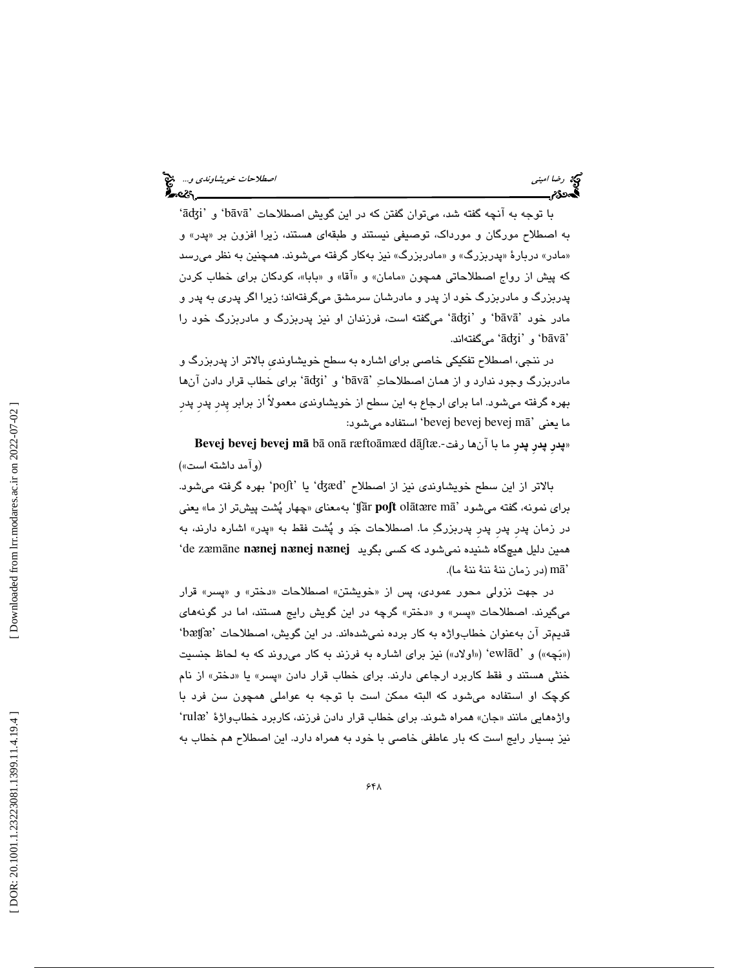با توجه به آنچه گفته شد، میتوان گفتن كه در این گویش اصطلاحات 'bāvā' و 'ādʒi' به اصطلاح مورگان و مورداک، توصیفی نیستند و طبقهای هستند، زیرا افزون بر «پدر» و «مادر» دربارهٔ «پدربزرگ» و «مادربزرگ» نيز بهكار گرفته ميشوند. همچنين به نظر ميرسد كه پيش از رواج اصطلاحاتي همچون «مامان» و «اقا» و «بابا»، كودكان براي خطاب كردن پدربزرگ و مادربزرگ خود از پدر و مادرشان سرمشق ميگرفتهاند؛ زيرا اگر پدري به پدر و مادر خود 'bāvā' و 'ādʒi' میگفته است، فرزندان او نیز پدربزرگ و مادربزرگ خود را ميگفتهاند. 'āʤi' و' b ā v ā '

در ننجي، اصطلاح تفكيكي خاصي براي اشاره به سطح خويشاونديِ بالاتر از پدربزرگ و مادربزرگ وجود ندارد و از همان اصطلاحاتِ 'bāvā' و 'ādʒi' برای خطاب قرار دادن آنها بهره گرفته ميشود. اما براي ارجاع به اين سطح از خويشاوندي معمولاً از برابر پِدرِ پدرِ پدرِ ما يعني 'bevej bevej bevej mā' استفاده مىشود:

**Bevej bevej bevej m** ā b ā on ā ræfto āmæd dāʃtæ. پدرِ پدرِ پدرِ ما با آنها رفت- » (وآمد داشته است»)

يا 'poʃt 'بهره گرفته ميشود. ' بالاتر از اين سطح خويشاوندي نيز از اصطلاح 'ʤæd چهار پشت پيشتر از ما» يعني به معناي « 'ʧār **po**ʃ**t** ol āt ᴂre m ā براي نمونه، گفته ميشود ' در زمان پدر پدر پدر پدربزرگِ ما. اصطلاحات جَد و پُشت فقط به «پدر» اشاره دارند، به 'de z ᴂ m āne **n** ᴂ**nej n** ᴂ**nej n** همين دليل هيچگاه شنيده نميشود كه كسي بگويد ᴂ**nej** (در زمان ننة ننة ننة ما). m ā '

در جهت نزولی محور عمودی، پس از «خویشتن» اصطلاحات «دختر» و «پسر» قرار میگیرند. اصطلاحات «پسر» و «دختر» گرچه در این گویش رایج هستند، اما در گونههای 'bᴂʧᴂ قديمتر آن بهعنوان خطابواژه به كار برده نميشدهاند. در اين گويش، اصطلاحات ' («بَچه») و 'ewlād' («اولاد») نيز براي اشاره به فرزند به كار ميروند كه به لحاظ جنسيت خنثي هستند و فقط كاربرد ارجاعي دارند. براي خطاب قرار دادن «پسر» يا «دختر» از نام كوچك او استفاده ميشود كه البته ممكن است با توجه به عواملي همچون سن فرد با واژههایی مانند «جان» همراه شوند. برای خطاب قرار دادن فرزند، کاربرد خطابواژهٔ 'rulæ' نيز بسيار رايج است كه بار عاطفي خاصي با خود به همراه دارد. اين اصطلاح هم خطاب به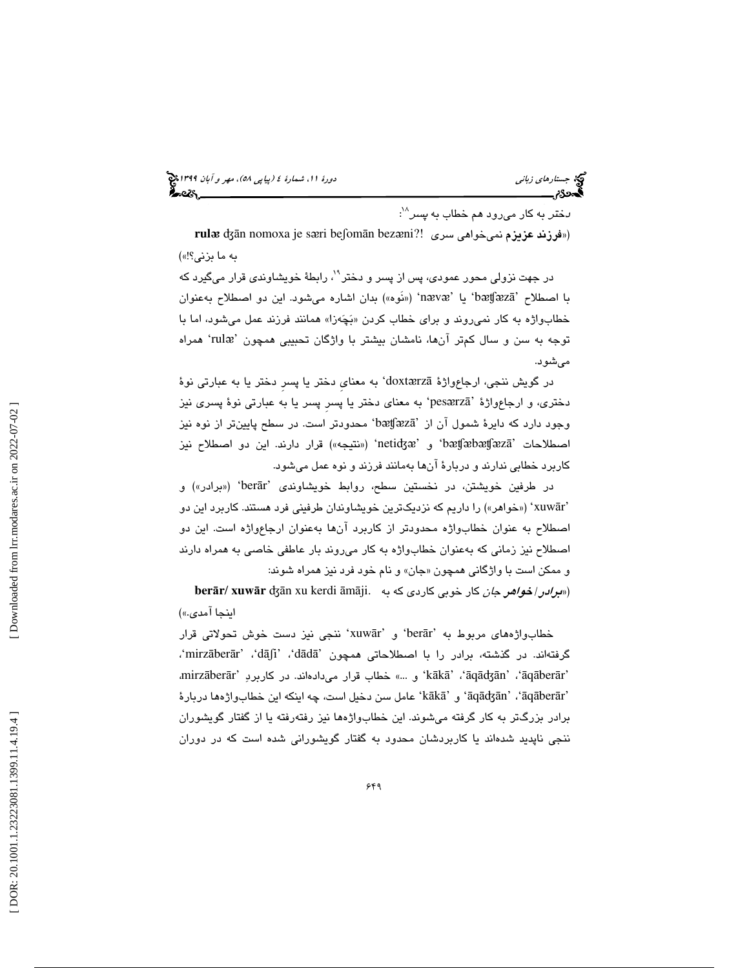(پياپي 58)، مهر و آبان 1399 جستارهاي زباني دورة ،11 شمارة 4

*د*ختر به كار مىرود هم خطاب به *پسر*^`:

**rul** ᴂ ʤān nomoxa je s ᴂri beʃom ān bez («فرزند عزيزم نميخواهي سري !?ᴂni

به ما بزني؟!»)

در جهت نزولی محور عمودی، پس از پسر و دختر<sup>۹</sup>۰، رابطهٔ خویشاوندی قرار میگیرد كه با اصطلاح 'bætfæzā' يا 'nævæ' («نَوه») بدان اشاره ميشود. اين دو اصطلاح بهعنوان خطابواژه به كار نمىروند و براى خطاب كردن «بَچَهزا» همانند فرزند عمل مىشود، اما با توجه به سن و سال کمتر آنها، نامشان بیشتر با واژگان تحبیبی همچون 'rulæ' همراه ميشود.

در گويش ننجي، ارجاعواژهٔ doxtærzā' به معناي دختر يا پسر دختر يا به عبارتي نوهٔ دختری، و ارجاعواژهٔ 'pesærzā' به معنای دختر یا پسر پسر یا به عبارتی نوهٔ پسری نیز وجود دارد که دايرهٔ شمول آن از `bæt͡ʃæzā' محدودتر است. در سطح پايينتر از نوه نيز اصطلاحات 'bætʃæbætʃæzā' و 'netidʒæ' («نتيجه») قرار دارند. اين دو اصطلاح نيز كاربرد خطابي ندارند و دربارة آنها بهمانند فرزند و نوه عمل ميشود.

در طرفين خويشتن، در نخستين سطح، روابط خويشاوندى 'berār' («برادر») و xuw ») 'خواهر») را داريم كه نزديكترين خويشاوندان طرفيني فرد هستند. كاربرد اين دو ār' اصطلاح به عنوان خطابواژه محدودتر از كاربرد آنها بهعنوان ارجاعواژه است. اين دو اصطلاح نيز زماني كه بهعنوان خطابواژه به كار ميروند بار عاطفي خاصي به همراه دارند و ممكن است با واژگانى همچون «جان» و نام خود فرد نيز همراه شوند:

**berār/ xuwār** ʤān xu kerdi āmāji. («*برادر / خواهر جان* كار خوبي كاردي كه به اينجا آمدي.»)

خطابواژههای مربوط به 'berār' و 'xuwār' ننجی نیز دست خوش تحولاتی قرار ،'mirz āber ār' ،'dāʃi' ،'d ā d ā گرفتهاند. در گذشته، برادر را با اصطلاحاتي همچون ' 'kākā' ، ʿāqādʒān' ، ʿāqāberār' و ...» خطاب قرار مىدادەاند. در كاربردِ 'mirzāberār' 'āqādʒān' ، ʿāqāberār' و 'kākā' عامل سن دخيل است، چه اينكه اين خطابواژهها دربارهٔ برادر بزرگ تر به كار گرفته ميشوند. اين خطابواژهها نيز رفتهرفته يا از گفتار گويشوران ننجي ناپديد شدهاند يا كاربردشان محدود به گفتار گويشوراني شده است كه در دوران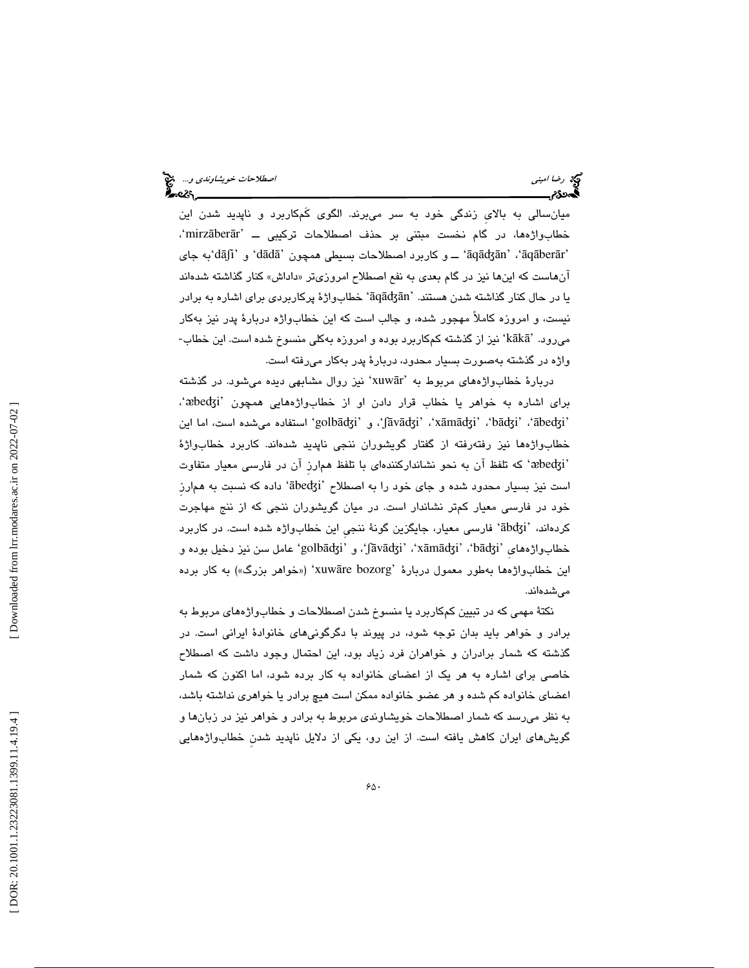ميانسالي به بالايِ زندگي خود به سر ميبرند. الگوي كَمكاربرد و ناپديد شدن اين ،'mirz āber خطابواژهها، در گام نخست مبتني بر حذف اصطلاحات تركيبي ــ 'ār 'āqādʒān' ، 'āqāberār' ـــ و كاربرد اصطلاحات بسيطي همچون 'dādā' و 'dāʃi'به جاي انهاست كه اينها نيز در گام بعدي به نفع اصطلاح امروزيتر «داداش» كنار گذاشته شدهاند يا در حال كنار گذاشته شدن هستند. 'āqādʒān' خطابواژهٔ پركاربردی برای اشاره به برادر نيست، و امروزه كاملاً مهجور شده، و جالب است كه اين خطابواژه دربارهٔ پدر نيز بهكار<br>م<sub>ى</sub>رود. 'kākā' نيز از گذشته كمكاربرد بوده و امروزه بهكلى منسوخ شده است. اين خطاب-واژه در گذشته بهصورت بسيار محدود، دربارة پدر بهكار ميرفته است.

دربارهٔ خطابواژههای مربوط به 'xuwār' نیز روال مشابهی دیده میشود. در گذشته برای اشاره به خواهر یا خطاب قرار دادن او از خطابواژههایی همچون 'æbedʒi'، 'golbādʒi' ، 'jāvādʒi' ، 'xāmādʒi' ، و `golbādʒi' استفاده ميشده است، اما اين خطابواژهها نيز رفتهرفته از گفتار گويشوران ننجي ناپديد شدهاند. كاربرد خطابواژة كه تلفظ آن به نحو نشانداركنندهاي با تلفظ همارزِ آن در فارسي معيار متفاوت ' ᴂbe ʤi' است نیز بسیار محدود شده و جای خود را به اصطلاح 'ābedʒi' داده که نسبت به همارز خود در فارسي معيار كمتر نشاندار است. در ميان گويشوران ننجي كه از ننج مهاجرت كردهاند، 'ābdʒi' فارسی معیار، جایگزین گونهٔ ننجی این خطابواژه شده است. در كاربرد خطابواژههای 'bāʤi'، 'xāmāʤi'، 'jāvāʤi'، و 'golbāʤi' عامل سن نيز دخيل بوده و این خطابواژهها بهطور معمول دربارهٔ 'xuwāre bozorg' («خواهر بزرگ») به کار برده ميشدهاند.

نكتة مهمي كه در تبيين كمكاربرد يا منسوخ شدن اصطلاحات و خطابواژههاي مربوط به برادر و خواهر بايد بدان توجه شود، در پيوند با دگرگونيهاي خانوادة ايراني است. در گذشته كه شمار برادران و خواهران فرد زياد بود، اين احتمال وجود داشت كه اصطلاح خاصي براي اشاره به هر يك از اعضاي خانواده به كار برده شود، اما اكنون كه شمار اعضاي خانواده كم شده و هر عضو خانواده ممكن است هيچ برادر يا خواهري نداشته باشد، به نظر ميرسد كه شمار اصطلاحات خويشاوندي مربوط به برادر و خواهر نيز در زبانها و گويشهاي ايران كاهش يافته است. از اين رو، يكي از دلايل ناپديد شدنِ خطابواژههايي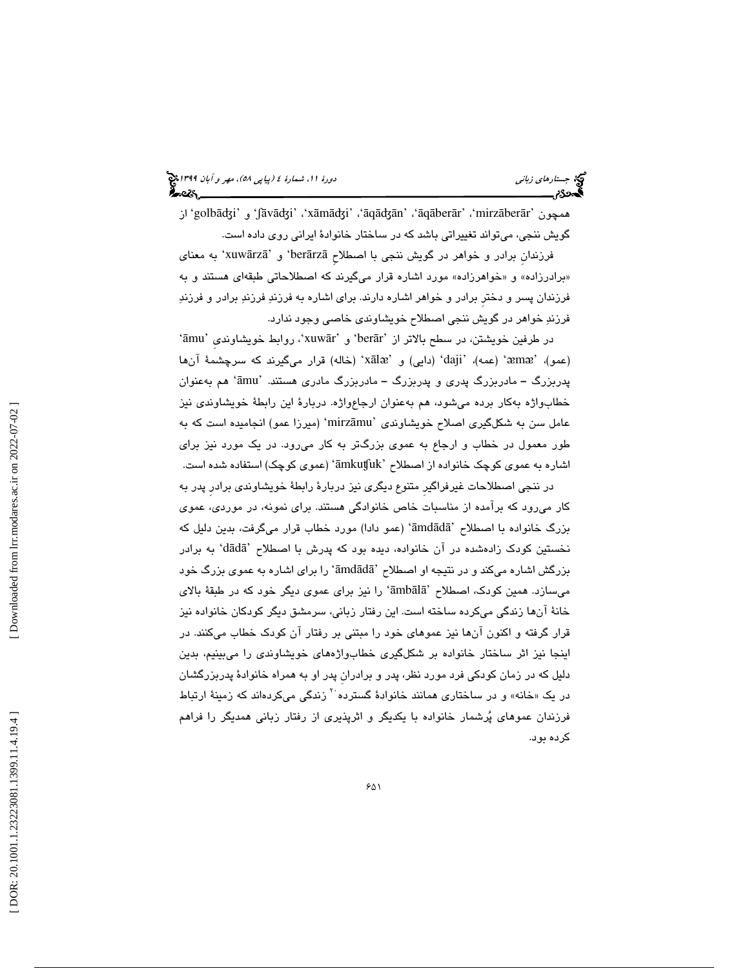و 'golbāʤi 'از 'ʃā vāʤi' ،'x ā māʤi' ، ' ā qāʤān' ، ' ā q āber ār' ،'mirz āber همچون 'ār گويش ننجي، ميتواند تغييراتي باشد كه در ساختار خانوادة ايراني روي داده است.

فرزندان برادر و خواهر در گويش ننجي با اصطلاح berārzāʾ و 'xuwārzāʾ به معنای «برادرزاده» و «خواهرزاده» مورد اشاره قرار میگیرند كه اصطلاحاتی طبقهای هستند و به فرزندان پسر و دخترِ برادر و خواهر اشاره دارند. براي اشاره به فرزند فرزند برادر و فرزند فرزند خواهر در گويش ننجي اصطلاح خويشاوندي خاصي وجود ندارد.

در طرفين خويشتن، در سطح بالاتر از 'berār' و 'xuwār'، روابط خويشاوندی 'āmu' (عمو)، 'æmæ' (عمه)، 'daji' (دايي) و 'xālæ' (خاله) قرار ميگيرند كه سرچشمهٔ آنها پدربزرگ – مادربزرگ پدری و پدربزرگ – مادربزرگ مادری هستند. 'āmu' هم بهعنوان خطابواژه بهكار برده ميشود، هم بهعنوان ارجاعواژه. دربارة اين رابطة خويشاوندي نيز عامل سن به شكلگيري اصلاح خويشاوندي 'mirzāmu' (ميرزا عمو) انجاميده است كه به طور معمول در خطاب و ارجاع به عموي بزرگتر به كار ميرود. در يك مورد نيز براي اشاره به عموی کوچک خانواده از اصطلاح 'āmkuʧuk' (عموی کوچک) استفاده شده است.

در ننجي اصطلاحات غيرفراگيرِ متنوع ديگري نيز دربارة رابطة خويشاوندي برادرِ پدر به كار ميرود كه برآمده از مناسبات خاص خانوادگي هستند. براي نمونه، در موردي، عموي بزرگ خانواده با اصطلاح 'āmdādā' (عمو دادا) مورد خطاب قرار میگرفت، بدین دلیل كه نخستين كودک زادهشده در آن خانواده، ديده بود كه پدرش با اصطلاح 'dādā' به برادر بزرگش اشاره میکند و در نتیجه او اصطلاح 'āmdādā' را برای اشاره به عموی بزرگ خود میسازد. همین کودک، اصطلاح 'āmbālā' را نیز برای عموی دیگر خود که در طبقهٔ بالای خانة آنها زندگي ميكرده ساخته است. اين رفتار زباني، سرمشق ديگر كودكان خانواده نيز قرار گرفته و اكنون آنها نيز عموهاي خود را مبتني بر رفتار آن كودك خطاب ميكنند. در اينجا نيز اثر ساختار خانواده بر شكلگيري خطابواژههاي خويشاوندي را ميبينيم، بدين دليل كه در زمان كودكي فرد مورد نظر، پدر و برادرانِ پدر او به همراه خانوادة پدربزرگشان در یک «خانه» و در ساختاری همانند خانوادهٔ گسترده<sup>۲۰</sup> زندگی میکردهاند که زمینهٔ ارتباط فرزندان عموهاي پرشمار خانواده با يكديگر و اثرپذيري از رفتار زباني همديگر را فراهم كرده بود.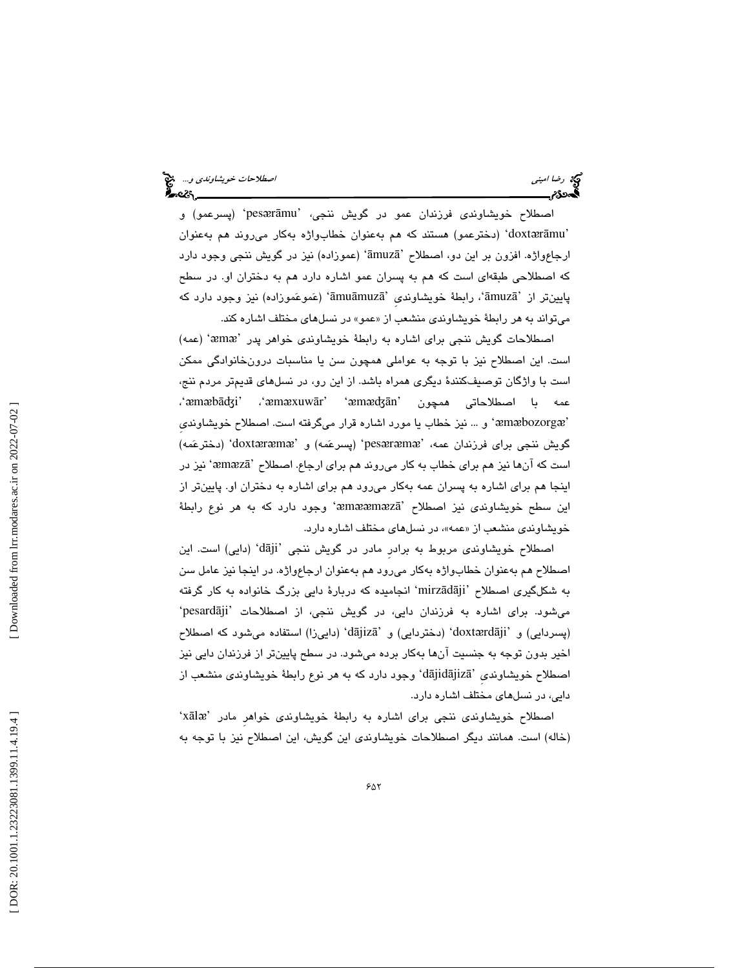اصطلاح خويشاوندى فرزندان عمو در گويش ننجى، 'pesærāmu' (پسرعمو) و 'doxtærāmu' (دخترعمو) هستند كه هم بهعنوان خطابواژه بهكار مىروند هم بهعنوان ارجاعواژه. افزون بر اين دو، اصطلاح 'āmuzā' (عموزاده) نيز در گويش ننجي وجود دارد كه اصطلاحي طبقهاي است كه هم به پسران عمو اشاره دارد هم به دختران او. در سطح پايينتر از 'āmuzā'، رابطهٔ خويشاوندی 'āmuāmuzā' (عَموعَموزاده) نيز وجود دارد كه میتواند به هر رابطهٔ خویشاوندی منشعب از «عمو» در نسل۵ای مختلف اشاره کند.

اصطلاحات گويش ننجي براي اشاره به رابطهٔ خويشاوندي خواهر پدر 'æmæ' (عمه) است. اين اصطلاح نيز با توجه به عواملي همچون سن يا مناسبات درونخانوادگي ممكن است با واژگان توصيفكنندة ديگري همراه باشد. از اين رو، در نسلهاي قديمتر مردم ننج، ، ' ᴂ m ᴂ bāʤi' ، ' ᴂ m ᴂxuw ār' ' ᴂ عمه با اصطلاحاتي همچون 'mᴂʤān و ... نيز خطاب يا مورد اشاره قرار ميگرفته است. اصطلاح خويشاونديِ ' ᴂ m ᴂbozorg ᴂ ' گويش ننجي براي فرزندان عمه، 'pesæræmæ' (پسرعَمه) و 'doxtæræmæ' (دخترعَمه) است كه آنها نيز هم براي خطاب به كار مىروند هم براي ارجاع. اصطلاح 'æmæzā' نيز در اينجا هم براي اشاره به پسران عمه بهكار ميرود هم براي اشاره به دختران او. پايينتر از اين سطح خويشاوندى نيز اصطلاح 'æmææmæzā' وجود دارد كه به هر نوع رابطهٔ خویشاوندی منشعب از «عمه»، در نسل@ای مختلف اشاره دارد.

اصطلاح خويشاوندى مربوط به برادر مادر در گويش ننجى 'dāji' (دايى) است. اين اصطلاح هم بهعنوان خطابواژه بهكار ميرود هم بهعنوان ارجاعواژه. در اينجا نيز عامل سن به شكلگيرى اصطلاح 'mirzādāji' انجاميده كه دربارهٔ دايی بزرگ خانواده به كار گرفته میشود. برای اشاره به فرزندان دایی، در گویش ننجی، از اصطلاحات 'pesardāji' (پسردايي) و 'doxtærdāji' (دختردايي) و 'dājizā' (داييزا) استفاده ميشود كه اصطلاح اخير بدون توجه به جنسيت آنها بهكار برده ميشود. در سطح پايينتر از فرزندان دايي نيز اصطلاح خویشاوندی 'dājidājizā' وجود دارد که به هر نوع رابطهٔ خویشاوندی منشعب از دايي، در نسلهاي مختلف اشاره دارد.

'x ā l ᴂ اصطلاح خويشاوندي ننجي براي اشاره به رابطة خويشاوندي خواهرِ مادر ' (خاله) است. همانند ديگر اصطلاحات خويشاوندي اين گويش، اين اصطلاح نيز با توجه به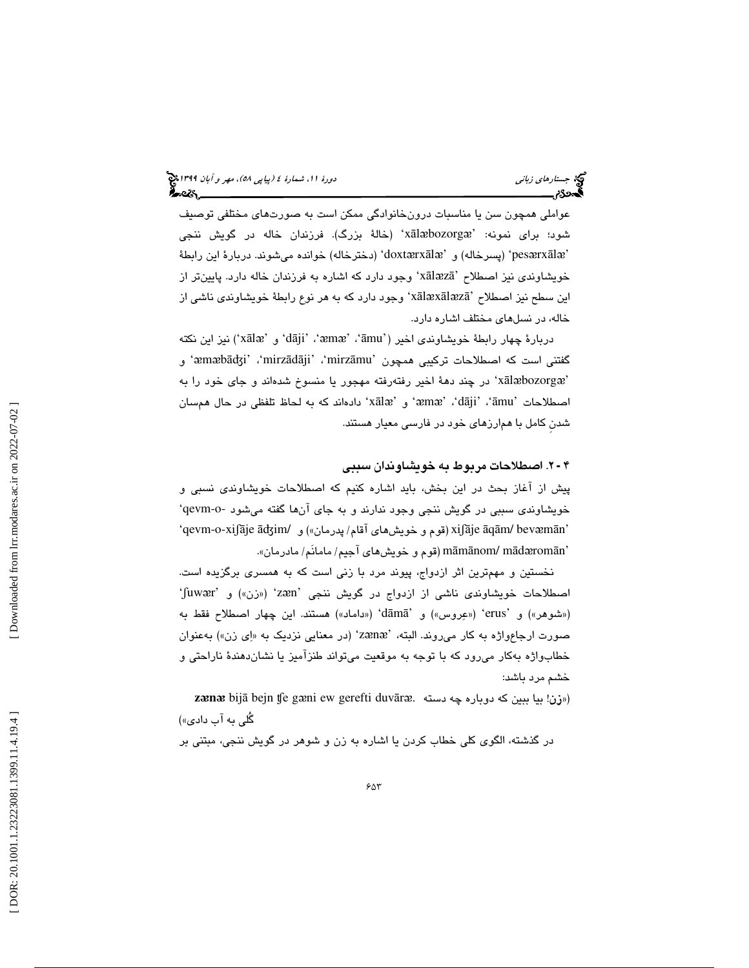عواملي همچون سن يا مناسبات درونخانوادگي ممكن است به صورتهاي مختلفي توصيف x) 'خالة بزرگ). فرزندان خاله در گويش ننجي ā l ᴂbozorg ᴂ شود؛ براي نمونه: ' 'pesærxālæ' (پسرخاله) و 'doxtærxālæ' (دخترخاله) خوانده ميشوند. دربارهٔ اين رابطهٔ خویشاوندی نیز اصطلاح 'xālæzā' وجود دارد که اشاره به فرزندان خاله دارد. پایینiتر از اين سطح نيز اصطلاح 'xālæxālæzā' وجود دارد كه به هر نوع رابطهٔ خويشاوندى ناشى از خاله، در نسلهاي مختلف اشاره دارد.

دربارهٔ چهار رابطهٔ خویشاوندی اخیر ('āmu'، 'āmu'، 'dāji'، 'æmæ'، نیز این نکته گفتني است كه اصطلاحات تركيبي همچون 'mirzādāji'، 'mirzāmu' و'æmæbādʒi'، 'xālæbozorgæ' در چند دههٔ اخیر رفتهرفته مهجور یا منسوخ شدهاند و جای خود را به اصطلاحات `āmu'، `amæ'، `æmæ' و `xālæ' دادهاند كه به لحاظ تلفظي در حال همسان شدنِ كامل با همارزهاي خود در فارسي معيار هستند.

## 2. اصطلاحات مربوط به خويشاوندان سببي 4 ـ

پيش از آغاز بحث در اين بخش، بايد اشاره كنيم كه اصطلاحات خويشاوندي نسبي و خويشاوندي سببي در گويش ننجي وجود ندارند و به جاي آنها گفته ميشود -o-qevm' 'qevm-o-xiʃāje ādʒim/ (قوم و خويشهاى آقام/ پدرمان») و 'qevm-o-xiʃāje ādʒim/ (پا māmānom/ mādæromān' (قوم و خويشهاي آجيم/ مامانَم/ مادرمان».

نخستين و مهمترين اثر ازدواج، پيوند مرد با زنی است كه به همسری برگزيده است.<br>اصطلاحات خويشاوندی ناشی از ازدواج در گويش ننجی 'zæn' («زن») و 'fuwær' («شوهر») و 'erus' («عِروس») و 'dāmā' («داماد») هستند. این چهار اصطلاح فقط به صورت ارجاعواژه به كار مىروند. البته، 'zænæ' (در معنايي نزديك به «اِي زن») بهعنوان خطابواژه بهكار ميرود كه با توجه به موقعيت ميتواند طنزآميز يا نشاندهندة ناراحتي و خشم مرد باشد:

**zænæ** bijā bejn ¶e gæni ew gerefti duvāræ. سته) گُلي به آب دادي») در گذشته، الگوي كلي خطاب كردن يا اشاره به زن و شوهر در گويش ننجي، مبتني بر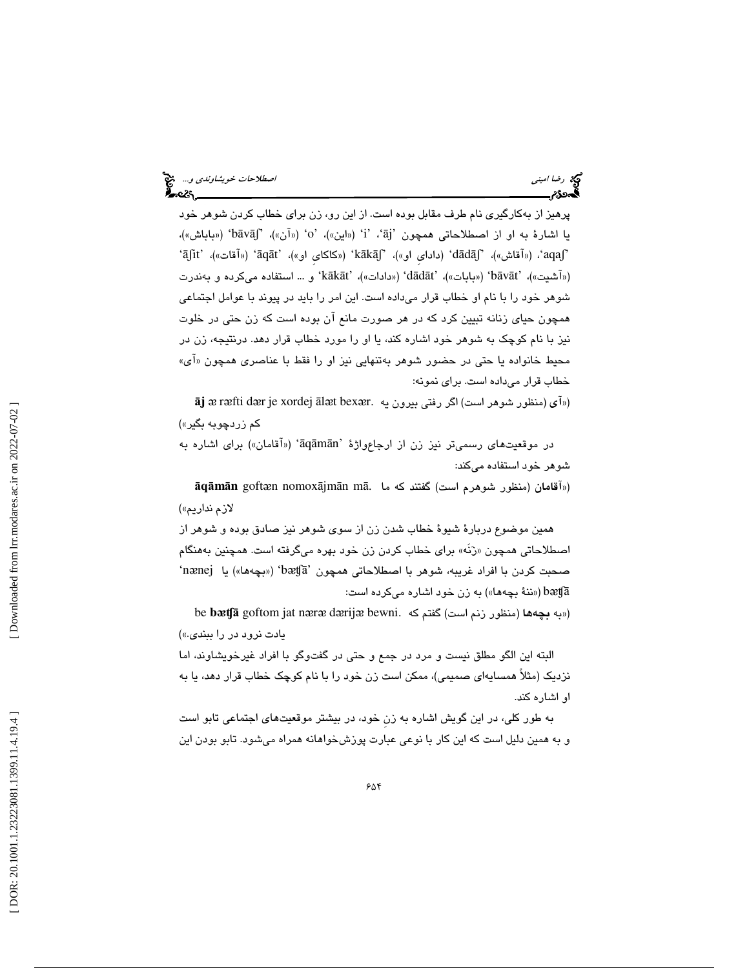پرهيز از بهكارگيري نام طرف مقابل بوده است. از اين رو، زن براي خطاب كردن شوهر خود يا اشارهٔ به او از اصطلاحاتي همچون 'āj'، 'i' («اين»)، 'o' («آن»)، 'bāvāʃ' («باباش»)، `aqaʃi'، («آقاش»)، `dādāʃ' (دادای او»)، 'kākāʃ' («کاکای او»)، 'āqāt' («آقات»)، 'āʃit' («آشيت»)، 'bāvāt' («بابات»)، 'dādāt' («دادات»)، 'kākāt' و … استفاده مىكرده و بەندرت شوهر خود را با نام او خطاب قرار ميداده است. اين امر را بايد در پيوند با عوامل اجتماعي همچون حياي زنانه تبيين كرد كه در هر صورت مانع آن بوده است كه زن حتي در خلوت نيز با نام كوچك به شوهر خود اشاره كند، يا او را مورد خطاب قرار دهد. درنتيجه، زن در محيط خانواده يا حتى در حضور شوهر بهتنهايي نيز او را فقط با عناصری همچون «ای» خطاب قرار ميداده است. براي نمونه:

 $\bar{\bf a}$ j æ ræfti dær je xordej ālæt bexær. واپرون يه  $\tilde{\bf a}$ j æ ræfti dær je xordej ālæt bexær. كم زردچوبه بگير»)

در موقعیتهای رسمیتر نیز زن از ارجاعواژهٔ 'āqāmān' («آقامان») برای اشاره به شوهر خود استفاده ميكند:

ā **q** ā **m** ā **n** goft ᴂn nomox ājm ān m («آقامان (منظور شوهرم است) گفتند كه ما .ā لازم نداريم»)

همين موضوع دربارة شيوة خطاب شدن زن از سوي شوهر نيز صادق بوده و شوهر از اصطلاحاتی همچون «رَنَه» برای خطاب کردن زن خود بهره میگرفته است. همچنین بههنگام صحبت كردن با افراد غريبه، شوهر با اصطلاحاتي همچون 'bætʃā' («بچهها») يا nænej' (« ننة بچهها») به زن خود اشاره ميكرده است: bᴂʧā

be **bætfā** goftom jat næræ dærijæ bewni. (مانظور زنم است) گفتم كه . يادت نرود در را ببندي.»)

البته اين الگو مطلق نيست و مرد در جمع و حتي در گفتوگو با افراد غيرخويشاوند، اما نزديك (مثلاً همسايهاي صميمي)، ممكن است زن خود را با نام كوچك خطاب قرار دهد، يا به او اشاره كند.

به طور كلي، در اين گويش اشاره به زنِ خود، در بيشتر موقعيتهاي اجتماعي تابو است و به همين دليل است كه اين كار با نوعي عبارت پوزشخواهانه همراه ميشود. تابو بودن اين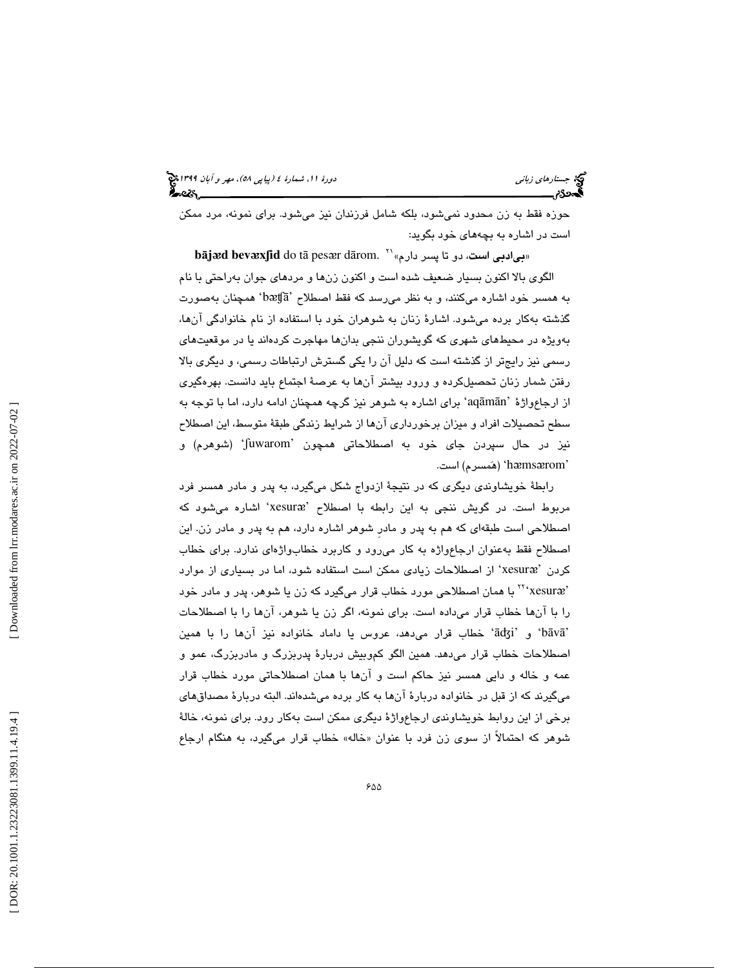حوزه فقط به زن محدود نميشود، بلكه شامل فرزندان نيز ميشود. براي نمونه، مرد ممكن است در اشاره به بچههاي خود بگويد:

 $\boldsymbol{\mathtt{b}}$ ā**jæd**  $\boldsymbol{\mathtt{b}}$ **evæxʃid** do tā pesær dārom. «ب**ي**ادبي است، دو تا پسر دارم» الگوي بالا اكنون بسيار ضعيف شده است و اكنون زنها و مردهاي جوان بهراحتي با نام bᴂʧā 'همچنان بهصورت به همسر خود اشاره ميكنند، و به نظر ميرسد كه فقط اصطلاح ' گذشته بهكار برده ميشود. اشارة زنان به شوهران خود با استفاده از نام خانوادگي آنها، بهويژه در محيطهاي شهري كه گويشوران ننجي بدانها مهاجرت كردهاند يا در موقعيتهاي سمي نيز رايجتر از گذشته است كه دليل آن را يكي گسترش ارتباطات رسمي، و ديگري بالا ر رفتن شمار زنان تحصيلكرده و ورود بيشتر آنها به عرصة اجتماع بايد دانست. بهرهگيري از ارجاعواژهٔ 'aqāmān' برای اشاره به شوهر نیز گرچه همچنان ادامه دارد، اما با توجه به سطح تحصيلات افراد و ميزان برخورداري آنها از شرايط زندگي طبقة متوسط، اين اصطلاح نيز در حال سپردن جای خود به اصطلاحاتی همچون 'fuwarom' (شوهرم) و hæmsærom' (هَمسرم) است.

رابطة خويشاوندي ديگري كه در نتيجة ازدواج شكل ميگيرد، به پدر و مادر همسر فرد مربوط است. در گويش ننجی به اين رابطه با اصطلاح 'xesuræ' اشاره میشود كه اصطلاحي است طبقهاي كه هم به پدر و مادرِ شوهر اشاره دارد، هم به پدر و مادر زن. اين اصطلاح فقط بهعنوان ارجاعواژه به كار ميرود و كاربرد خطابواژهاي ندارد. براي خطاب كردن 'xesuræ' از اصطلاحات زيادى ممكن است استفاده شود، اما در بسيارى از موارد 'xesur ᴂ ' با همان اصطلاحي مورد خطاب قرار ميگيرد كه زن يا شوهر، پدر و مادر خود <sup>22</sup> را با آنها خطاب قرار ميداده است. براي نمونه، اگر زن يا شوهر، آنها را با اصطلاحات خطاب قرار ميدهد، عروس يا داماد خانواده نيز آنها را با همين 'āʤi' و' b ā v ā ' اصطلاحات خطاب قرار میدهد. همین الگو کموبیش دربارهٔ پدربزرگ و مادربزرگ، عمو و عمه و خاله و دايي همسر نيز حاكم است و آنها با همان اصطلاحاتي مورد خطاب قرار ميگيرند كه از قبل در خانواده دربارة آنها به كار برده ميشدهاند. البته دربارة مصداقهاي برخي از اين روابط خويشاوندي ارجاعواژة ديگري ممكن است بهكار رود. براي نمونه، خالة شوهر كه احتمالاً از سوى زن فرد با عنوان «خاله» خطاب قرار مىگیرد، به هنگام ارجاع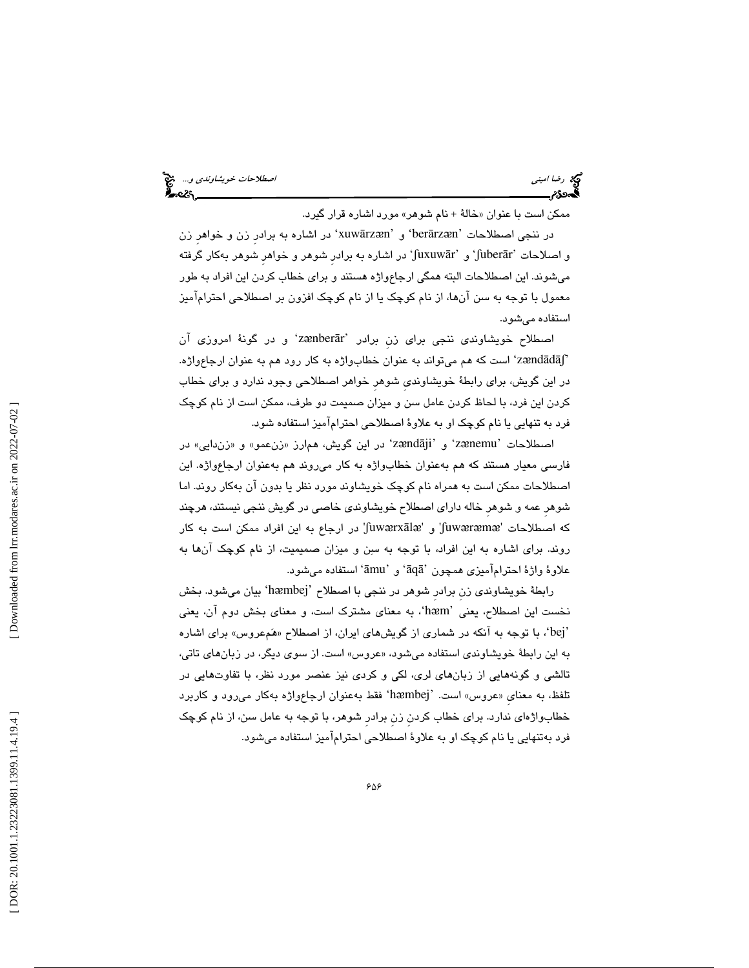ممكن است با عنوان «خالهٔ + نام شوهر» مورد اشاره قرار گیرد.

در ننجي اصطلاحات 'berārzæn' و 'xuwārzæn' در اشاره به برادر زن و خواهر زن و اصلاحات 'fuberār' و 'juxuwār' در اشاره به برادر شوهر و خواهر شوهر بهكار گرفته ميشوند. اين اصطلاحات البته همگي ارجاعواژه هستند و براي خطاب كردن اين افراد به طور معمول با توجه به سن آنها، از نام كوچك يا از نام كوچك افزون بر اصطلاحي احترامآميز استفاده ميشود.

اصطلاح خويشاوندى ننجى براى زن برادر 'zænberār' و در گونهٔ امروزى آن 'zændādāʃ' است كه هم ميتواند به عنوان خطابواژه به كار رود هم به عنوان ارجاعواژه. در اين گويش، براي رابطة خويشاونديِ شوهرِ خواهر اصطلاحي وجود ندارد و براي خطاب كردن اين فرد، با لحاظ كردن عامل سن و ميزان صميمت دو طرف، ممكن است از نام كوچك فرد به تنهايي يا نام كوچك او به علاوة اصطلاحي احترامآميز استفاده شود.

اصطلاحات 'zænemu' و 'zændāji' در اين گويش، هم|رز «زنعمو» و «زندايي» در فارسي معيار هستند كه هم بهعنوان خطابواژه به كار ميروند هم بهعنوان ارجاعواژه. اين اصطلاحات ممكن است به همراه نام كوچك خويشاوند مورد نظر يا بدون آن بهكار روند. اما شوهرِ عمه و شوهرِ خاله داراي اصطلاح خويشاوندي خاصي در گويش ننجي نيستند، هرچند كه اصطلاحات 'Juwæræmæ' و 'Juwærxālæ' در ارجاع به اين افراد ممكن است به كار روند. براي اشاره به اين افراد، با توجه به سن و ميزان صميميت، از نام كوچك آنها به علاوهٔ واژهٔ احترامآمیزی همچون 'āqā' و 'āmu' استفاده میشود.

رابطهٔ خویشاوندی زن برادر شوهر در ننجی با اصطلاح 'hæmbej' بیان میشود. بخش نخست اين اصطلاح، يعني 'hæm'، به معناي مشترك است، و معناي بخش دوم آن، يعني `bej'، با توجه به آنكه در شماري از گويشهاي ايران، از اصطلاح «هَمِعروس» براي اشاره به اين رابطهٔ خويشاوندي استفاده ميشود، «عروس» است. از سوي ديگر، در زبانهاي تاتي، تالشي و گونههايي از زبانهاي لري، لكي و كردي نيز عنصر مورد نظر، با تفاوتهايي در تلفظ، به معنای «عروس» است. 'hæmbej' فقط بهعنوان ارجاعواژه بهکار میرود و کاربرد خطابواژهاي ندارد. براي خطاب كردنِ زنِ برادرِ شوهر، با توجه به عامل سن، از نام كوچك فرد بهتنهايي يا نام كوچك او به علاوة اصطلاحي احترامآميز استفاده ميشود.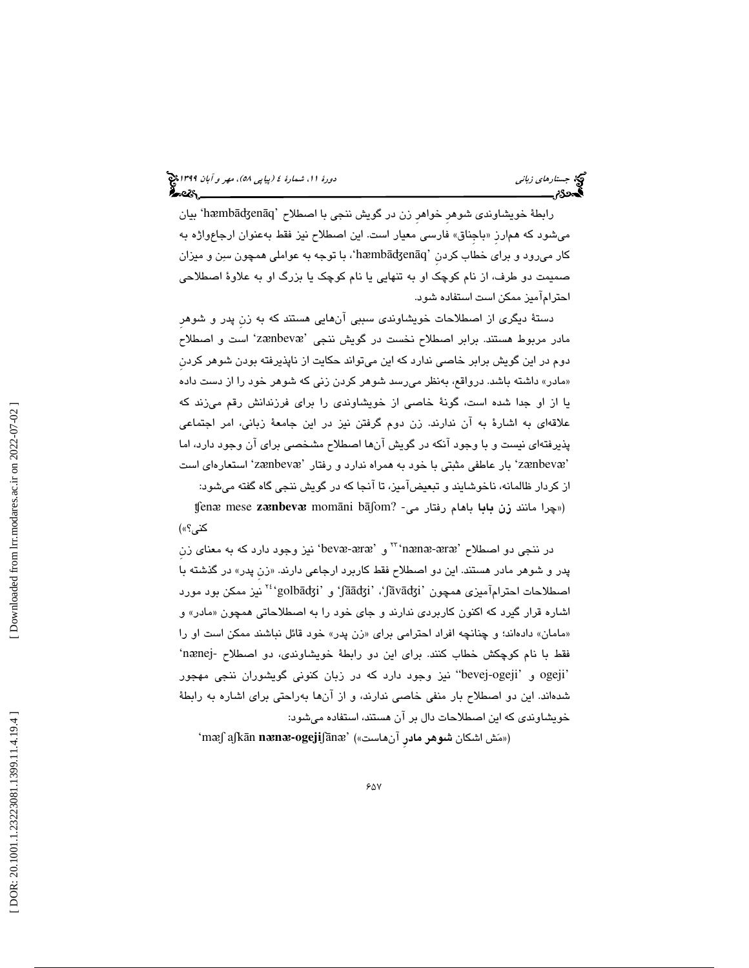رابطهٔ خویشاوندی شوهر خواهر زن در گویش ننجی با اصطلاح 'hæmbādʒenāq' بیان میشود که همارز «باجناق» فارسی معیار است. این اصطلاح نیز فقط بهعنوان ارجاعواژه به کار میرود و برای خطاب کردن 'hæmbāʤenāq'، با توجه به عواملی همچون سنِن و میزان صميمت دو طرف، از نام كوچك او به تنهايي يا نام كوچك يا بزرگ او به علاوة اصطلاحي احترامآميز ممكن است استفاده شود.

دستة ديگري از اصطلاحات خويشاوندي سببي آنهايي هستند كه به زنِ پدر و شوهرِ مادر مربوط هستند. برابر اصطلاح نخست در گويش ننجى 'zænbevæ' است و اصطلاح دوم در اين گويش برابر خاصي ندارد كه اين ميتواند حكايت از ناپذيرفته بودن شوهر كردنِ مادر» داشته باشد. درواقع، بهنظر ميرسد شوهر كردن زني كه شوهر خود را از دست داده » يا از او جدا شده است، گونة خاصي از خويشاوندي را براي فرزندانش رقم ميزند كه علاقهاي به اشارة به آن ندارند. زن دوم گرفتن نيز در اين جامعة زباني، امر اجتماعي پذيرفتهاي نيست و با وجود آنكه در گويش آنها اصطلاح مشخصي براي آن وجود دارد، اما 'zænbevæ' بار عاطفي مثبتي با خود به همراه ندارد و رفتار 'zænbevæ' استعارهاي است از كردار ظالمانه، ناخوشايند و تبعيضآميز، تا آنجا كه در گويش ننجي گاه گفته ميشود:<br>(«چرا مانند زن **بابا** باهام رفتار مي- ?fenæ mese **zænbevæ** momāni bāʃom

كني؟»)

در ننجی دو اصطلاح 'nænæ-æræ''' و 'bevæ-æræ' نیز وجود دارد كه به معنای زن پدر و شوهر مادر هستند. اين دو اصطلاح فقط كاربرد ارجاعی دارند. «زن پدر» در گذشته با اصطلاحات احترامآمیزی همچون 'Jāādʒi'، 'jāvādʒi' و '<sup>۲٤</sup>۰golbādʒi'نیز ممکن بود مورد اشاره قرار گیرد كه اكنون كاربردی ندارند و جای خود را به اصطلاحاتی همچون «مادر» و «مامان» دادهاند؛ و چنانچه افراد احترامی برای «زن پدر» خود قائل نباشند ممکن است او را فقط با نام كوچكش خطاب كنند. براى اين دو رابطهٔ خويشاوندى، دو اصطلاح -nænej 'ogeji و 'ogeji-bevej "نيز وجود دارد كه در زبان كنوني گويشوران ننجي مهجور شدهاند. اين دو اصطلاح بار منفي خاصي ندارند، و از آنها بهراحتي براي اشاره به رابطة خويشاوندي كه اين اصطلاحات دال بر آن هستند، استفاده ميشود:

'mᴂʃ aʃk ān **n** ᴂ **n** ᴂ**-ogeji**ʃā n (« مش اشكان شوهر مادرِ آنهاست ») 'ᴂ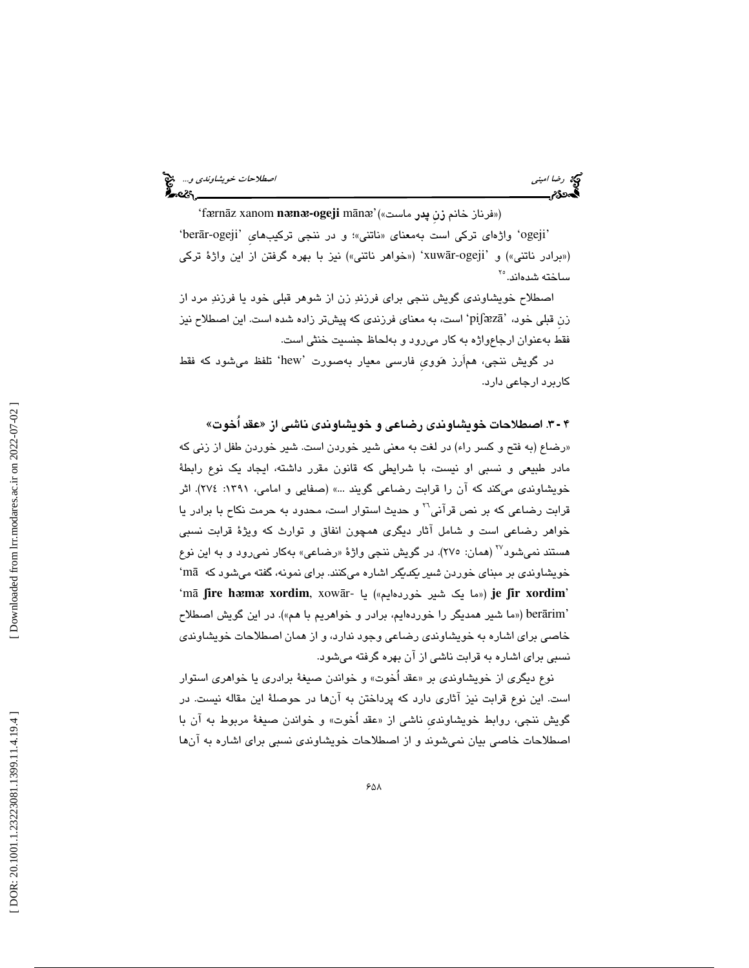رضا ا*ميني الصحيح الصحيح الصحيح العالم الصطلاحات خويشاوندي و...*. وهي الصحيح الصحيح الصحيح الصحيح الصحيح الصحيح<br>**الص**حيح الصحيح

'fᴂrn āz xanom **n** ᴂ **n** ᴂ**-ogeji** m ā n ᴂ (« فرناز خانم زنِ پدر ماست )» ' 'ogeji' واژهای ترکی است بهمعنای «ناتنی»؛ و در ننجی ترکیبهای 'berār-ogeji' («برادر ناتني») و 'xuwār-ogeji' («خواهر ناتني») نيز با بهره گرفتن از اين واژهٔ ترکي ساخته شد<mark>ه</mark>اند.°<sup>۲</sup>

اصطلاح خويشاوندي گويش ننجي براي فرزند زن از شوهر قبلي خود يا فرزند مرد از زن قبلی خود، 'piʃæzā' است، به معنای فرزندی که پیشتر زاده شده است. این اصطلاح نیز فقط بهعنوان ارجاعواژه به كار ميرود و بهلحاظ جنسيت خنثي است.

در گويش ننجي، هماَرز هوويِ فارسي معيار بهصورت 'hew 'تلفظ ميشود كه فقط كاربرد ارجاعي دارد.

۴ - ۳. اصطلاحات خويشاوندى رضاعى و خويشاوندى ناشى از «عقد اَخوت»

«رضاع (به فتح و كسر راء) در لغت به معنى شير خوردن است. شير خوردن طفل از زني كه مادر طبيعي و نسبي او نيست، با شرايطي كه قانون مقرر داشته، ايجاد يك نوع رابطة خويشاوندي ميكند كه آن را قرابت رضاعي گويند ... » (صفايي و امامي، 1391 : 274). اثر قرابت رضاعی كه بر نص قرآنی<sup>71</sup> و حديث استوار است، محدود به حرمت نكاح با برادر يا خواهر رضاعي است و شامل آثار ديگري همچون انفاق و توارث كه ويژة قرابت نسبي هستند نمي شود<sup>٬۲۷</sup> (همان: ۲۷۰). در گويش ننجي واژهٔ «رضاعي» بهکار نمي رود و به اين نوع 'm خويشاوندي بر مبناي خوردن شير يكديگر اشاره ميكنند. براي نمونه، گفته ميشود كه ā 'm ā ʃ**ire h** ᴂ **m** ᴂ **xordim**, xow  **je** ») ما يك شير خوردهايم») يا -ār ʃ**ir xordim** ' berārim' («ما شير همديگر را خوردهايم، برادر و خواهريم با هم»). در اين گويش اصطلاح خاصي براي اشاره به خويشاوندي رضاعي وجود ندارد، و از همان اصطلاحات خويشاوندي نسبي براي اشاره به قرابت ناشي از آن بهره گرفته ميشود.

نوع ديگري از خويشاوندي بر «عقد اخوت» و خواندن صيغهٔ برادري يا خوا*هري* استوار است. اين نوع قرابت نيز آثاري دارد كه پرداختن به آنها در حوصلة اين مقاله نيست. در گويش ننجي، روابط خويشاوندي ناشي از «عقد آخوت» و خواندن صيغهٔ مربوط به ان با اصطلاحات خاصي بيان نميشوند و از اصطلاحات خويشاوندي نسبي براي اشاره به آنها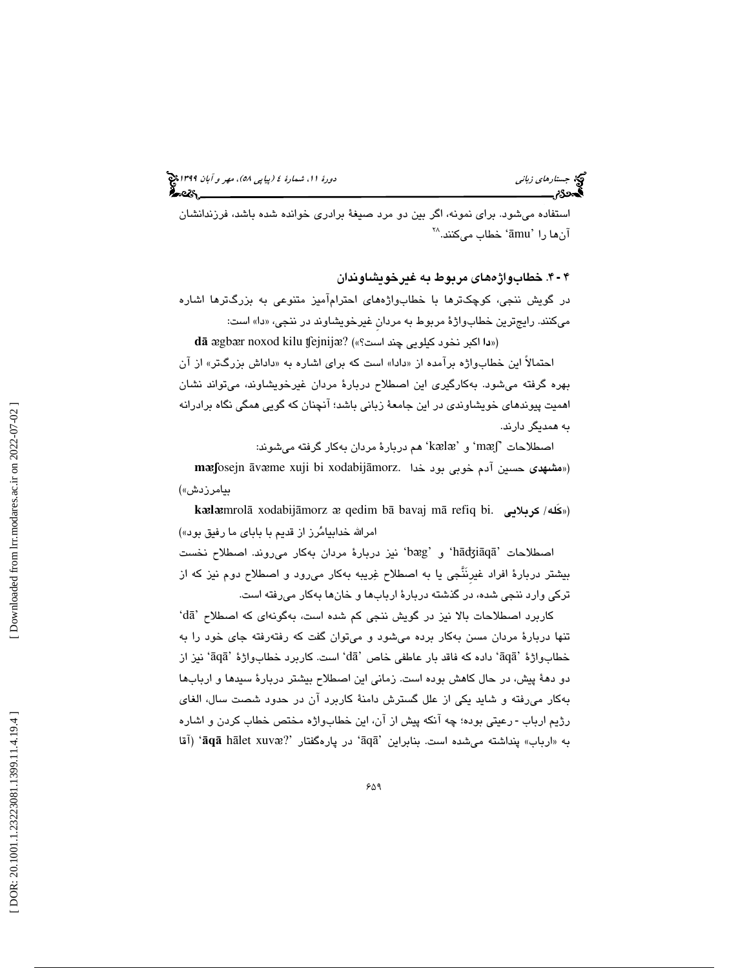آنها را 'āmu' خطاب میکنند.^` استفاده ميشود. براي نمونه، اگر بين دو مرد صيغهٔ برادري خوانده شده باشد، فرزندانشان

4. خطابواژههاي مربوط به غيرخويشاوندان 4 ـ

در گويش ننجي، كوچكترها با خطابواژههاي احترامآميز متنوعي به بزرگترها اشاره ميكنند. رايجترين خطابواژة مربوط به مردانِ غيرخويشاوند در ننجي، » دا« است:

dā ægbær noxod kilu ¶ejnijæ? («دا اكبر نخود كيلويي چند است؟»)

احتمالاً این خطابواژه برامده از «دادا» است که برای اشاره به «داداش بزرگتر» از ان بهره گرفته ميشود. بهكارگيري اين اصطلاح دربارة مردان غيرخويشاوند، ميتواند نشان اهميت پيوندهاي خويشاوندي در اين جامعة زباني باشد؛ آنچنان كه گويي همگي نگاه برادرانه به همديگر دارند.

اصطلاحات  $^{\prime}$ mæʃ و 'kælæ' هم دربارهٔ مردان بهکار گرفته میشوند: **mæf**osejn āvæme xuji bi xodabijāmorz. اسشهدی حسین آدم خوبی بود خدا)

**k**ᴂ**l**ᴂmrol بيامرزدش») ā xodabij āmorz ᴂ qedim b ā bavaj m («كَله/ كربلايي .bi refiq ā امرالله خدابيامُرز از قديم با باباي ما رفيق بود»)

اصطلاحات 'hādʒiāqā' و 'bæg' نيز دربارهٔ مردان بهكار مىروند. اصطلاح نخست بيشتر دربارة افراد غيرِنَنَّجي يا به اصطلاح غريبه بهكار ميرود و اصطلاح دوم نيز كه از تركي وارد ننجي شده، در گذشته دربارة اربابها و خانها بهكار ميرفته است.

'd ā كاربرد اصطلاحات بالا نيز در گويش ننجي كم شده است، بهگونهاي كه اصطلاح ' تنها دربارة مردان مسن بهكار برده ميشود و ميتوان گفت كه رفتهرفته جاي خود را به  $\tilde{a}$ واژهٔ 'āq $\tilde{a}$ ' داده که فاقد بار عاطفی خاص 'd $\tilde{a}'$ ' است. کاربرد خطابواژهٔ 'āq $\tilde{a}'$ ' نیز از دو دهة پيش، در حال كاهش بوده است. زماني اين اصطلاح بيشتر دربارة سيدها و اربابها بهكار ميرفته و شايد يكي از علل گسترش دامنة كاربرد آن در حدود شصت سال، الغاي رژيم ارباب - رعيتي بوده؛ چه آنكه پيش از آن، اين خطابواژه مختص خطاب كردن و اشاره به «ارباب» پنداشته میشده است. بنابراین 'āqā' در پارهگفتار ''**aqā** hālet xuvæ' (آقا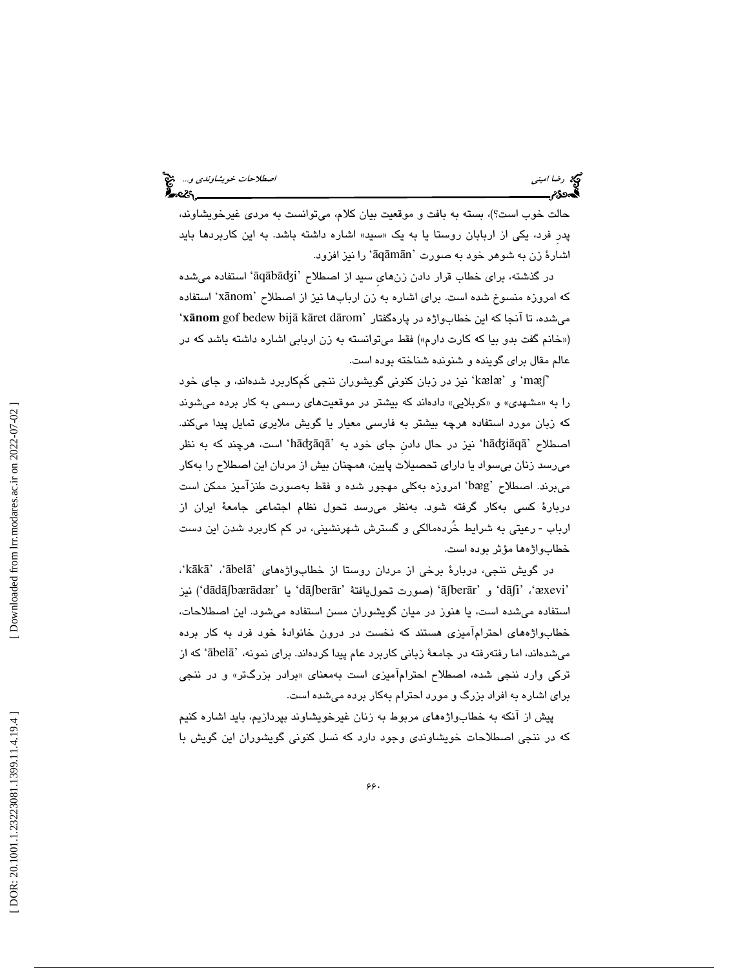رضا اميني الصحيح الصطلاحات *خويشاوندي و...*. وهي الصحيح الصطلاحات *خويشاوندي و...*<br>الصحيح الصحيح الصحيح الصحيح الصحيح الصحيح الصحيح الصحيح الصحيح الصحيح الصحيح الصحيح الصحيح الصحيح الصحيح الصحي<br>الصحيح الصحيح الصحيح الصحيح

حالت خوب است؟)، بسته به بافت و موقعيت بيان كلام، ميتوانست به مردي غيرخويشاوند، پدر فرد، یکی از اربابان روستا یا به یک «سبید» اشاره داشته باشد. به این کاربردها باید اشارهٔ زن به شوهر خود به صورت 'āqāmān' را نیز افزود.

در گذشته، برای خطاب قرار دادن زنهای سید از اصطلاح 'āqābādʒi' استفاده میشده كه امروزه منسوخ شده است. براي اشاره به زن اربابها نيز از اصطلاح 'xānom' استفاده ' **x** ā**nom** gof bedew bij ā k āret d ميشده، تا آنجا كه اين خطابواژه در پارهگفتار 'ārom («خانم گفت بدو بیا که کارت دارم») فقط میتوانسته به زن اربابی اشاره داشته باشد که در عالم مقال براي گوينده و شنونده شناخته بوده است.

næʃ" و 'kælæ' نیز در زبان كنونی گویشوران ننجی كَمكاربرد شدهاند، و جای خود را به «مشهدی» و «کربلایی» دادهاند که بیشتر در موقعیتهای رسمی به کار برده میشوند كه زبان مورد استفاده هرچه بيشتر به فارسي معيار يا گويش ملايري تمايل پيدا ميكند. اصطلاح 'hādʒiāqā' نيز در حال دادن جاي خود به 'hādʒāqā' است، هرچند كه به نظر ميرسد زنان بيسواد يا داراي تحصيلات پايين، همچنان بيش از مردان اين اصطلاح را بهكار میبرند. اصطلاح 'bæg' امروزه بهكلی مهجور شده و فقط بهصورت طنزآمیز ممكن است دربارة كسي بهكار گرفته شود. بهنظر ميرسد تحول نظام اجتماعي جامعة ايران از ارباب - رعیتی به شرایط خُردهمالکی و گسترش شهرنشینی، در کم کاربرد شدن این دست خطابواژهها مؤثر بوده است.

 ،'k ā k ā ' ، ' ābel ā در گويش ننجي، دربارة برخي از مردان روستا از خطابواژههاي ' 'aʃberār' و 'āʃberār' (صورت تحوليافتة 'dāʃberār' يا 'dāʃbærādær') نيز استفاده ميشده است، يا هنوز در ميان گويشوران مسن استفاده ميشود. اين اصطلاحات، خطابواژههاي احترامآميزي هستند كه نخست در درون خانوادة خود فرد به كار برده میشدهاند، اما رفتهرفته در جامعهٔ زبانی کاربرد عام پیدا کردهاند. برای نمونه، 'ābelā' که از ترکی وارد ننجی شده، اصطلاح احترام۱میزی است بهمعنای «برادر بزرگتر» و در ننجی براي اشاره به افراد بزرگ و مورد احترام بهكار برده ميشده است.

پيش از آنكه به خطابواژههاي مربوط به زنان غيرخويشاوند بپردازيم، بايد اشاره كنيم كه در ننجي اصطلاحات خويشاوندي وجود دارد كه نسل كنوني گويشوران اين گويش با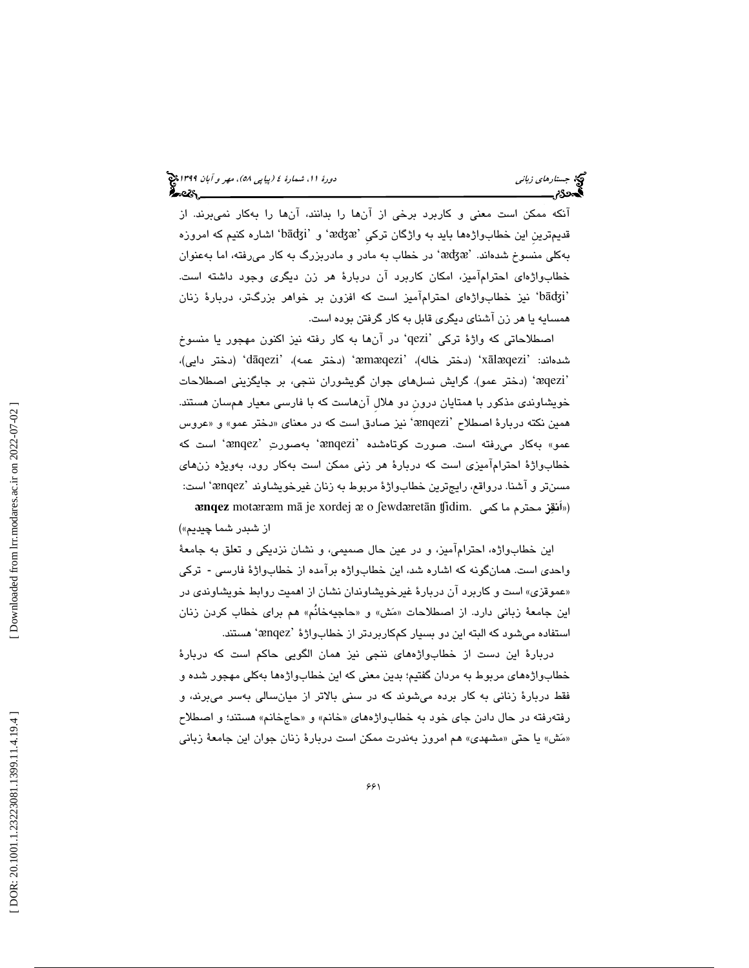آنكه ممكن است معني و كاربرد برخي از آنها را بدانند، آنها را بهكار نميبرند. از قديمترين اين خطابواژهها بايد به واژگان تركي 'æʤæ' و 'bāʤi' اشاره كنيم كه امروزه بهکلی منسوخ شدهاند. 'æʤæ' در خطاب به مادر و مادربزرگ به کار میرفته، اما بهعنوان خطابواژهاي احترامآميز، امكان كاربرد آن دربارة هر زن ديگري وجود داشته است. 'bāʤi 'نيز خطابواژهاي احترامآميز است كه افزون بر خواهر بزرگتر، دربارة زنان همسايه يا هر زن آشناي ديگري قابل به كار گرفتن بوده است.

اصطلاحاتی که واژهٔ ترکی 'qezi' در آنها به کار رفته نیز اکنون مهجور یا منسوخ شدهاند: 'xālæqezi' (دختر خاله)، 'æmæqezi' (دختر عمه)، 'dāqezi' (دختر دايي)، (دختر عمو). گرايش نسلهاي جوان گويشوران ننجي، بر جايگزيني اصطلاحات ' ᴂqezi' خويشاوندي مذكور با همتايان درونِ دو هلالِ آنهاست كه با فارسي معيار همسان هستند. همین نكته دربارهٔ اصطلاح 'ænqezi' نیز صادق است كه در معنای «دختر عمو» و «عروس عمو» بهكار مىرفته است. صورت كوتاهشده 'ænqezi' بهصورتِ 'ænqez' است كه خطابواژة احترامآميزي است كه دربارة هر زني ممكن است بهكار رود، بهويژه زنهاي مسنتر و آشنا. درواقع، رايجترين خطابواژهٔ مربوط به زنان غيرخويشاوند 'ænqez' است: **ænqez** motæræm mā je xordej æ o ʃewdæretān ʧidim. («اَ**نقِز** محترم ما كمى از شبدر شما چيديم»)

اين خطابواژه، احترامآميز، و در عين حال صميمي، و نشان نزديكي و تعلق به جامعة واحدی است. همانگونه که اشاره شد، این خطابواژه برآمده از خطابواژهٔ فارسی - ترکی «عموقزی» است و کاربرد ان دربارهٔ غیرخویشاوندان نشان از اهمیت روابط خویشاوندی در اين جامعهٔ زباني دارد. از اصطلاحات «مَش» و «حاجيهخانُم» هم براي خطاب كردن زنان استفاده میشود که البته این دو بسیار کمکاربردتر از خطابواژهٔ `ænqez' هستند.

دربارة اين دست از خطابواژههاي ننجي نيز همان الگويي حاكم است كه دربارة خطابواژههای مربوط به مردان گفتيم؛ بدين معنی كه اين خطابواژهها بهكلی مهجور شده و فقط دربارة زناني به كار برده ميشوند كه در سني بالاتر از ميانسالي بهسر ميبرند، و رفتهرفته در حال دادن جای خود به خطابواژههای «خانم» و «حاجخانم» هستند؛ و اصطلاح «مَشْ» يا حتى «مشهدى» هم امروز بەندرت ممكن است دربارهٔ زنان جوان اين جامعهٔ زبانی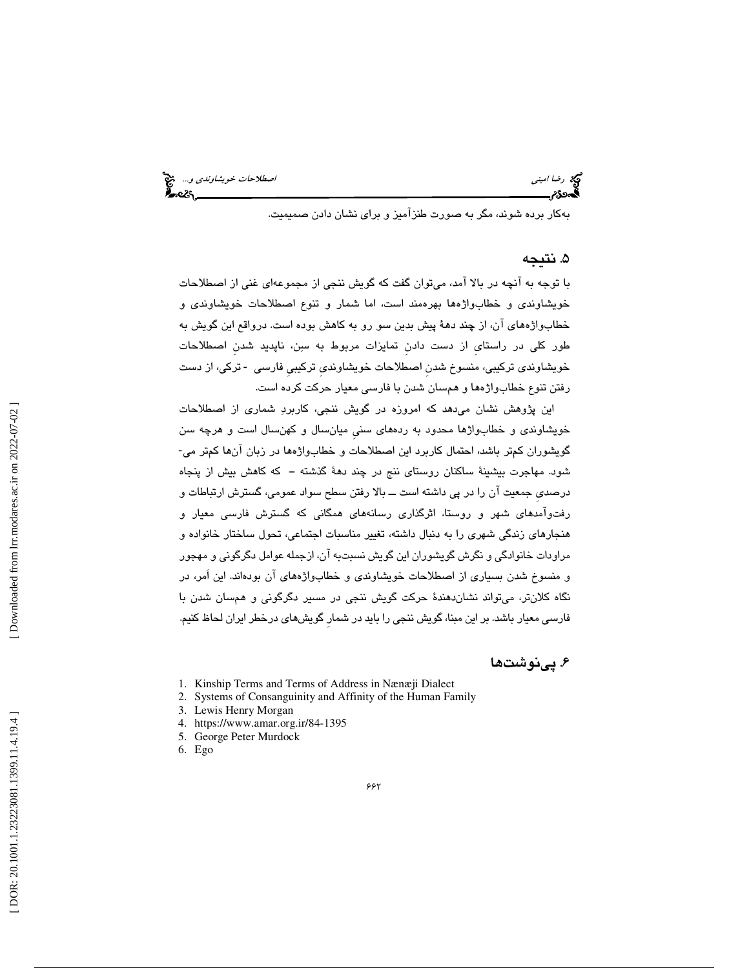رضا امين<sub>ى</sub> اسطلاحات *خويشاوندى و...*. چ<mark>ې</mark><br>په دوي است اصطلاحات خويشاوندي و... چې د اصطلاحات خويشاوندي و... چې د اصطلاحات خويشاوندي و...

بهكار برده شوند، مگر به صورت طنزآميز و براي نشان دادن صميميت.

### ۵. نتيجه

با توجه به آنچه در بالا آمد، ميتوان گفت كه گويش ننجي از مجموعهاي غني از اصطلاحات خويشاوندي و خطابواژهها بهرهمند است، اما شمار و تنوع اصطلاحات خويشاوندي و خطابواژههاي آن، از چند دهة پيش بدين سو رو به كاهش بوده است. درواقع اين گويش به طور كلي در راستايِ از دست دادنِ تمايزات مربوط به سن، ناپديد شدنِ اصطلاحات خویشاوندی ترکیبی، منسوخ شدن اصطلاحات خویشاوندی ترکیبی فارسی -ترکی، از دست رفتن تنوع خطابواژهها و همسان شدن با فارسي معيار حركت كرده است.

اين پژوهش نشان ميدهد كه امروزه در گويش ننجي، كاربرد شماري از اصطلاحات خويشاوندي و خطابواژها محدود به ردههاي سنيِ ميانسال و كهنسال است و هرچه سن گويشوران كمتر باشد، احتمال كاربرد اين اصطلاحات و خطابواژهها در زبان آنها كمتر مي- شود. مهاجرت بيشينة ساكنان روستاي ننج در چند دهة گذشته ــ كه كاهش بيش از پنجاه درصدي جمعيت آن را در پي داشته است ـــ بالا رفتن سطح سواد عمومي، گسترش ارتباطات و آمدهاي شهر و روستا، اثرگذاري رسانههاي همگاني كه گسترش فارسي معيار و رفتو هنجارهاي زندگي شهري را به دنبال داشته، تغيير مناسبات اجتماعي، تحول ساختار خانواده و مراودات خانوادگي و نگرش گويشوران اين گويش نسبتبه آن، ازجمله عوامل دگرگوني و مهجور و منسوخ شدن بسياري از اصطلاحات خويشاوندي و خطابواژههاي آن بودهاند. اين اَمر، در نگاه كلانتر، ميتواند نشاندهندة حركت گويش ننجي در مسير دگرگوني و همسان شدن با فارسي معيار باشد. بر اين مبنا، گويش ننجي را بايد در شمارِ گويشهاي درخطر ايران لحاظ كنيم.

۶۶۲

### 6. پينوشتها

- 1. Kinship Terms and Terms of Address in Nænæji Dialect
- 2. Systems of Consanguinity and Affinity of the Human Family
- 3. Lewis Henry Morgan
- 4. https://www.amar.org.ir/84-1395
- 5. George Peter Murdock
- 6. Ego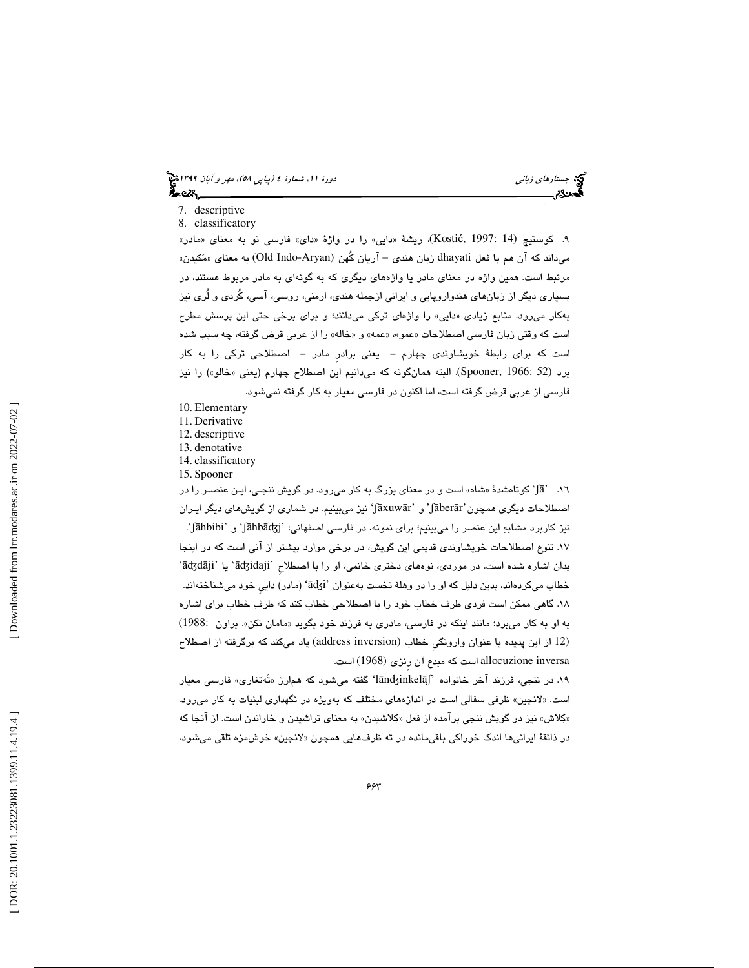- 7. descriptive
- 8. classificatory

۹. كوستيچ (Kostić, 1997: 14)، ريشهٔ «دايى» را در واژهٔ «داى» فارسى نو به معناى «مادر» میداند که آن هم با فعل dhayati زبان هندی – آریان کُهن (Old Indo-Aryan) به معنای «مَکیدن» مرتبط است. همين واژه در معناي مادر يا واژههاي ديگري كه به گونهاي به مادر مربوط هستند، در بسياري ديگر از زبانهاي هندواروپايي و ايراني ازجمله هندي، ارمني، روسي، آسي، كُردي و لُري نيز بهكار مىرود. منابع زيادى «دايي» را واژهاى تركى مىدانند؛ و براى برخى حتى اين پرسش مطرح است كه وقتي زبان فارسي اصطلاحات «عمو»، «عمه» و «خاله» را از عربي قرض گرفته، چه سبب شده است كه براي رابطة خويشاوندي چهارم ــ يعني برادرِ مادر ــ اصطلاحي تركي را به كار برد (52 :Spooner, 1966). البته همانگونه كه ميدانيم اين اصطلاح چهارم (يعني «خالو») را نيز فارسي از عربي قرض گرفته است، اما اكنون در فارسي معيار به كار گرفته نميشود.

- 10. Elementary
- 11. Derivative
- 12. descriptive 13. denotative
- 14. classificatory
- 15. Spooner

۱٦. آهَ)' كوتاهشدهٔ «شاه» است و در معناي بزرگ به كار مىرود. در گويش ننجـي، ايـن عنصــر را در اصطلاحات دیگری همچون 'jāberār' و 'jāxuwār' نیز میبینیم. در شماری از گویش،های دیگر ایـران . و 'ʃāhbibi' نيز كاربرد مشابه اين عنصر را ميبينيم؛ براي نمونه، در فارسي اصفهاني: 'ʃāhbāʤj' ۱۷. تنوعِ اصطلاحات خويشاوندي قديمي اين گويش، در برخي موارد بيشتر از آني است كه در اينجا<br>بدان اشاره شده است. در موردي، نوههاي دختري خانمي، او را با اصطلاح 'āʤdāji' يا 'āʤdāji' خطاب میکردهاند، بدین دلیل که او را در وهلهٔ نخست بهعنوان 'āʤi' (مادر) دایی خود میشناختهاند. 18. گاهي ممكن است فردي طرف خطاب خود را با اصطلاحي خطاب كند كه طرف خطاب براي اشاره به او به كار مىبرد؛ مانند اينكه در فارسى، مادرى به فرزند خود بگويد «مامان نكن». براون :1988) (12 از اين پديده با عنوان وارونگيِ خطاب (inversion address (ياد ميكند كه برگرفته از اصطلاح inversa allocuzione است كه مبدع آن رِنزي (1968) است.

۱۹. در ننجی، فرزند آخر خانواده 'lāndʒinkelāʃ' گفته میشود که هم|رز «تَهتغاری» فارسی معیار است. «لانجین» ظرفی سفالی است در اندازههای مختلف كه بهویژه در نگهداری لبنیات به كار میرود. «كِلاش» نيز در گويش ننجي برامده از فعل «كِلاشيدن» به معناي تراشيدن و خاراندن است. از انجا كه در ذائقهٔ ايرانيها اندک خوراکی باقيمانده در ته ظرفـهايي همچون «لانجين» خوشءزه تلقي ميشود،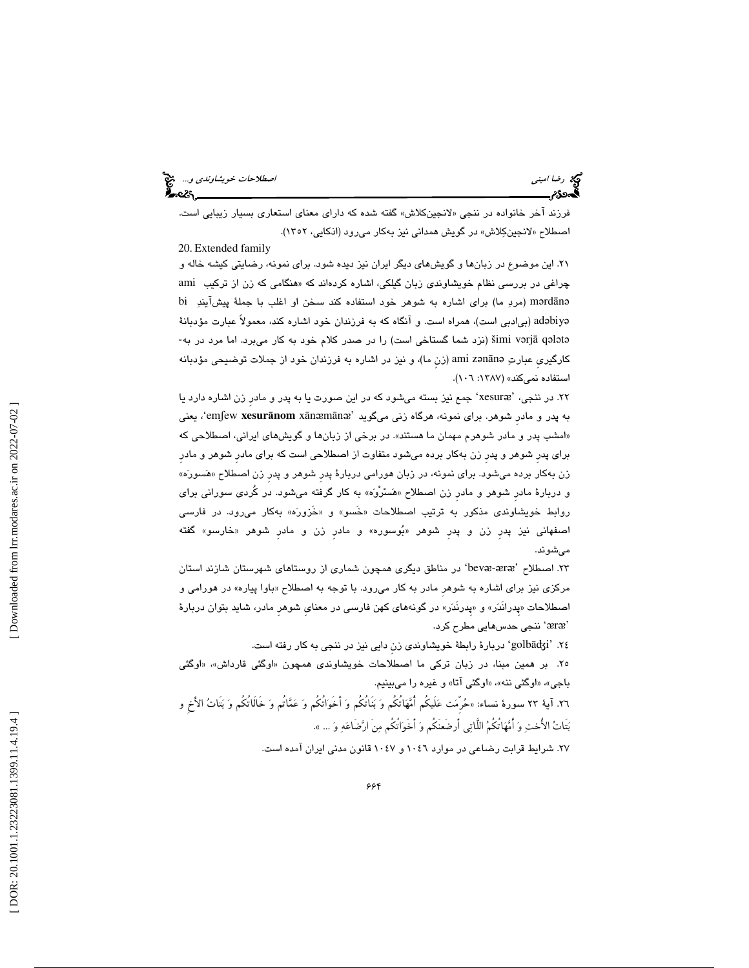فرزند اخر خانواده در ننجي «لانجينكلاش» گفته شده كه داراي معناي استعاري بسيار زيبايي است. اصطلاح «لانجينكِلاش» در گويش همداني نيز بهكار ميرود (اذكايي، ١٣٥٢). 20. Extended family

21. اين موضوع در زبانها و گويشهاي ديگر ايران نيز ديده شود. براي نمونه، رضايتي كيشه خاله و هنگامي كه زن از تركيب ami چراغي در بررسي نظام خويشاوندي زبان گيلكي، اشاره كردهاند كه « bi (مردِ ما) برای اشاره به شوهر خود استفاده کند سخن او اغلب با جملهٔ پیشآیندِ bi adəbiyə (بیادبی است)، همراه است. و آنگاه که به فرزندان خود اشاره کند، معمولاً عبارت مؤدبانهٔ šimi vərjā qələtə (نزد شما گستاخی است) را در صدر كلام خود به كار میبرد. اما مرد در به-كارگيري عبارتِ ami zənānə (زن ما)، و نيز در اشاره به فرزندان خود از جملات توضيحي مؤدبانه استفاده نمي كند» (١٣٨٧: ٠٦٩٦).

۲۲. در ننجی، 'xesuræ' جمع نيز بسته میشود كه در اين صورت يا به پدر و مادر زن اشاره دارد يا يعني ،'emʃew **xesur** ā**nom** x ā n ᴂ m ā n ᴂ به پدر و مادرِ شوهر. براي نمونه، هرگاه زني ميگويد ' امشب پدر و مادر شوهرم مهمان ما هستند». در برخي از زبانها و گويشهاي ايراني، اصطلاحي كه » براي پدرِ شوهر و پدرِ زن بهكار برده ميشود متفاوت از اصطلاحي است كه براي مادرِ شوهر و مادرِ زن بهکار برده میشود. برای نمونه، در زبان هورامی دربارهٔ پدر شوهر و پدر زن اصطلاح «هَسورَه» و دربارهٔ مادر شوهر و مادر زن اصطلاح «هَسْرُوَه» به كار گرفته ميشود. در كُردى سوراني براي روابط خويشاوندى مذكور به ترتيب اصطلاحات «خَسو» و «خَزورَه» بهكار مىرود. در فارسى اصفهاني نيز پدر زن و پدر شوهر «بُوسوره» و مادر زن و مادر شوهر «خارسو» گفته ميشوند.

۲۳. اصطلاح 'bevæ-æræ' در مناطق دیگری همچون شماری از روستاهای شهرستان شازند استان مركزي نيز براي اشاره به شوهر مادر به كار مىرود. با توجه به اصطلاح «باوا پياره» در هورامي و اصطلاحات «پِدرانُدَر» و «پِدرنَدَر» در گونههاي كهن فارسي در معناي شوهر مادر، شايد بتوان دربارهٔ ننجي حدسهايي مطرح كرد. ' ᴂ r ᴂ '

24. 'golbāʤi 'دربارة رابطة خويشاوندي زنِ دايي نيز در ننجي به كار رفته است.

۲۵. بر همین مبنا، در زبان ترکی ما اصطلاحات خویشاوندی همچون «اوگئی قارداش»، «اوگئی باجي»، «اوگئي ننه»، «اوگئي آتا» و غيره را ميبينيم.

٢٦. آية ٢٣ سورة نساء: «حُرمَت عَليكم امّْهَاتكم وَ بَناتكم وَ اخْوَاتكم وَ عَمَّاتُم وَ خَالَاتكم وَ بَتاتُ الأَخِ و بَتَاتُ الأُختِ وَ أُمَّهَاتُكُمُ اللَّاتِي أَرضَعنَكُم وَ أَخَوَاتُكُم مِنَ ارَّضَاعَهِ وَ ... ».

27. شرايط قرابت رضاعي در موارد 1046 و 1047 قانون مدني ايران آمده است.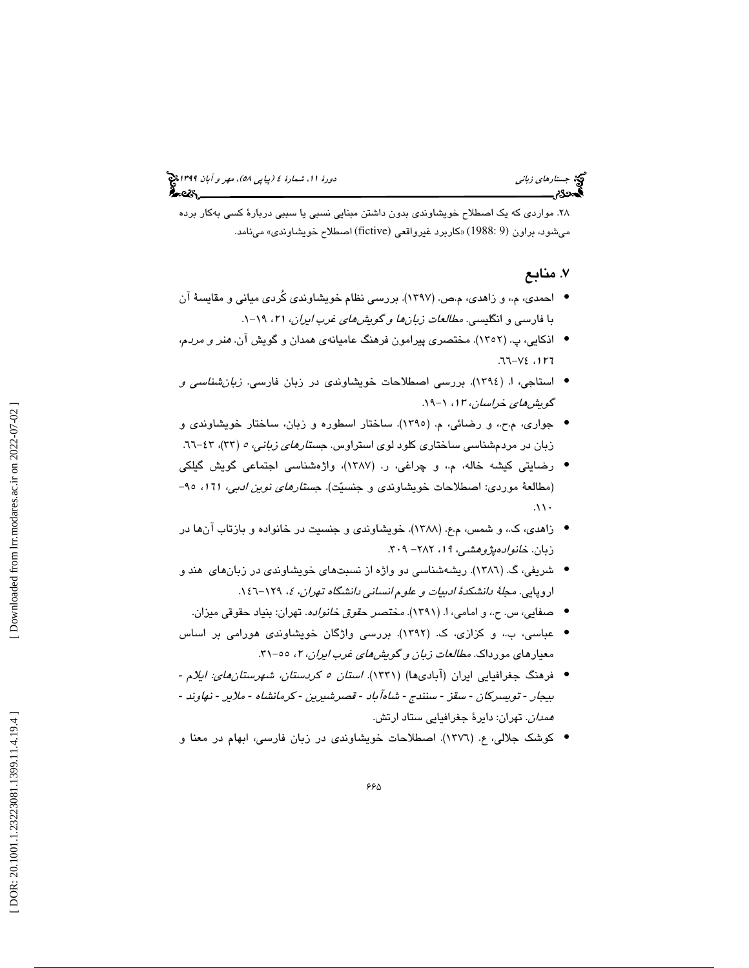28. مواردي كه يك اصطلاح خويشاوندي بدون داشتن مبنايي نسبي يا سببي دربارة كسي بهكار برده ميشود، براون (9 1988:) « كاربرد غيرواقعي (fictive (اصطلاح خويشاوندي» مينامد.

# ۷. منابع

- احمدي، م.، و زاهدي، م.ص. (١٣٩٧). بررسي نظام خويشاوندي كُردي مياني و مقايسهٔ آن با فارسي و انگليسي. *مطالعات زبانها و گويشهاي غرب ايران، ۲۱،* ۱۹-۱.
- اذكايي، پ. (١٣٥٢). مختصري پيرامون فرهنگ عاميانهي همدان و گويش آن. *هنر و مردم*،  $77 - V2$ ,  $177$
- استاجی، ا. (١٣٩٤). بررسی اصطلاحات خویشاوندی در زبان فارسی. *زبانشناسی و* گويشهاي خراسان، <sup>13</sup> -19. ،1
- جواري، م.ح،. و رضائي، ( .م 1395). ساختار اسطوره و زبان، ساختار خويشاوندي و زبان در مردمشناسی ساختاری کلود لوی استراوس. ج*ستارهای زبانی، ۵* (۳۳)، ۶۳-۱.
- رضايتي كيشه خاله، و م،. چراغي، ر. ( 1387)، واژهشناسي اجتماعي گويش گيلكي (مطالعهٔ موردی: اصطلاحات خویشاوندی و جنسیّت). ج*ستارهای نوین ادبی*، ۱۲۱، ۹۵–<br>۱۱۰.
- زاهدي، كـ.، و شمس، م.ع. (١٣٨٨). خويشاوندي و جنسيت در خانواده و بازتاب آنها در زبان. خانوادهپژوهشي، ١٩، ٢٨٢- ٣٠٩.
- شريفي، گ. (١٣٨٦). ريشهشناسي دو واژه از نسبتهاي خويشاوندي در زبانهاي هند و اروپايي. *مجلهٔ دانشكدهٔ ادبيات و علوم انساني دانشگاه تهران، ٤،* ١٢٩–١٤٦.
	- صفايي، س. ح.، و امامي، ا. (١٣٩١). مختصر ح*قوق خانواده*. تهران: بنياد حقوقي ميزان.
- عباسي، ب.، و كزازي، ک. (١٣٩٢). بررسي واژگان خويشاوندي هورامي بر اساس معیارهای مورداک. *مطالعات زبان و گویشهای غرب ایران*، ۲، ۵۵–۳۱.
- فرهنگ جغرافيايی ايران (آبادیها) (۱۳۳۱) *استان ٥ كردستان، شهرستانهائ: ايلا*م -بيجار - تويسركان - سقز - سنندج - شاهآباد - قصرشيرين - كرمانشاه - ملاير - نهاوند -*همدان*. تهران: دايرهٔ جغرافيايي ستاد ارتش.
- كوشك جلالي، ع. (١٣٧٦). اصطلاحات خويشاوندي در زبان فارسي، ابهام در معنا و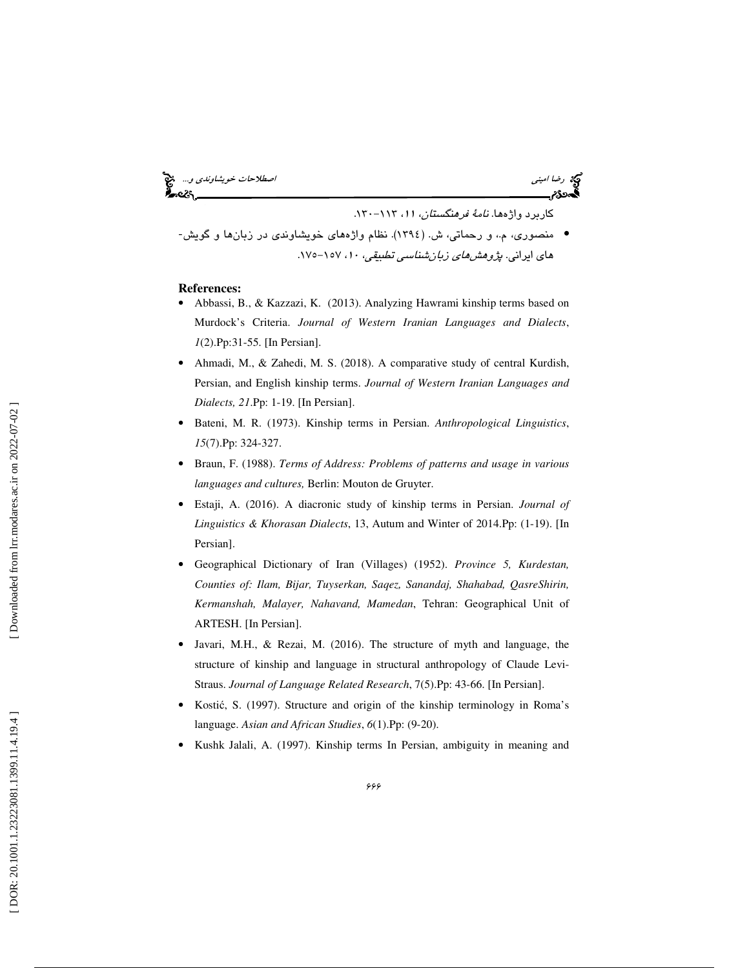رضا اميني اصطلاحات خويشاوندي و... كاربرد واژه .ها نامة فرهنگستان، ،11 -113 .130 • منصوري، م ،. و رحماتي ، ( ش. 1394 .) نظام واژههاي خويشاوندي در زبانها و گويش- هاي ايراني . پژوهشهاي زبانشناسي تطبيقي، ،10 -157 .175

- **References:**  Abbassi, B., & Kazzazi, K. (2013). Analyzing Hawrami kinship terms based on Murdock's Criteria. *Journal of Western Iranian Languages and Dialects*, *1*(2).Pp:31-55. [In Persian].
- Ahmadi, M., & Zahedi, M. S. (2018). A comparative study of central Kurdish, Persian, and English kinship terms. *Journal of Western Iranian Languages and Dialects, 21*.Pp: 1-19. [In Persian].
- Bateni, M. R. (1973). Kinship terms in Persian. *Anthropological Linguistics*, *15*(7).Pp: 324-327.
- Braun, F. (1988). *Terms of Address: Problems of patterns and usage in various languages and cultures,* Berlin: Mouton de Gruyter.
- Estaji, A. (2016). A diacronic study of kinship terms in Persian. *Journal of Linguistics & Khorasan Dialects*, 13, Autum and Winter of 2014.Pp: (1-19). [In Persian].
- Geographical Dictionary of Iran (Villages) (1952). *Province 5, Kurdestan, Counties of: Ilam, Bijar, Tuyserkan, Saqez, Sanandaj, Shahabad, QasreShirin, Kermanshah, Malayer, Nahavand, Mamedan*, Tehran: Geographical Unit of ARTESH. [In Persian].
- Javari, M.H., & Rezai, M. (2016). The structure of myth and language, the structure of kinship and language in structural anthropology of Claude Levi-Straus. *Journal of Language Related Research*, 7(5).Pp: 43-66. [In Persian].
- Kosti ć, S. (1997). Structure and origin of the kinship terminology in Roma's language. *Asian and African Studies*, *6*(1).Pp: (9-20).
- Kushk Jalali, A. (1997). Kinship terms In Persian, ambiguity in meaning and